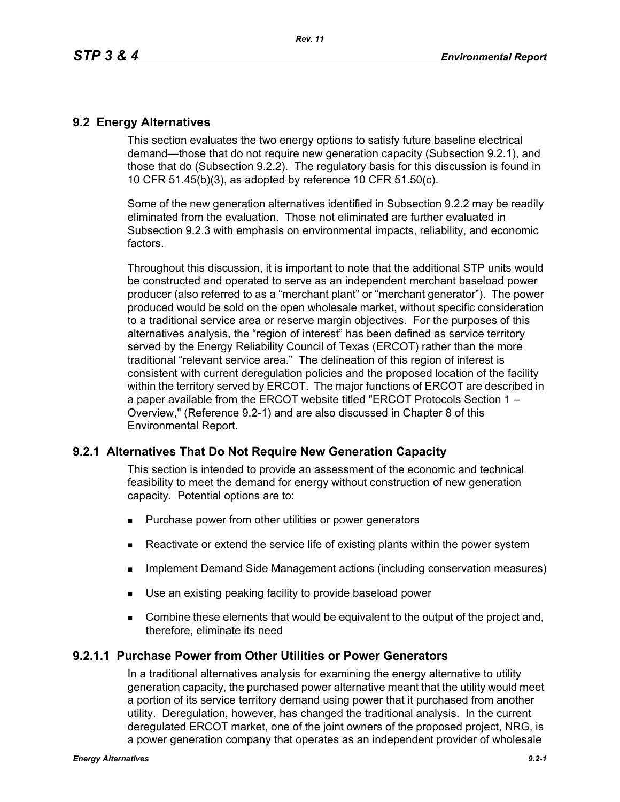## **9.2 Energy Alternatives**

This section evaluates the two energy options to satisfy future baseline electrical demand—those that do not require new generation capacity (Subsection 9.2.1), and those that do (Subsection 9.2.2). The regulatory basis for this discussion is found in 10 CFR 51.45(b)(3), as adopted by reference 10 CFR 51.50(c).

Some of the new generation alternatives identified in Subsection 9.2.2 may be readily eliminated from the evaluation. Those not eliminated are further evaluated in Subsection 9.2.3 with emphasis on environmental impacts, reliability, and economic factors.

Throughout this discussion, it is important to note that the additional STP units would be constructed and operated to serve as an independent merchant baseload power producer (also referred to as a "merchant plant" or "merchant generator"). The power produced would be sold on the open wholesale market, without specific consideration to a traditional service area or reserve margin objectives. For the purposes of this alternatives analysis, the "region of interest" has been defined as service territory served by the Energy Reliability Council of Texas (ERCOT) rather than the more traditional "relevant service area." The delineation of this region of interest is consistent with current deregulation policies and the proposed location of the facility within the territory served by ERCOT. The major functions of ERCOT are described in a paper available from the ERCOT website titled "ERCOT Protocols Section 1 – Overview," (Reference 9.2-1) and are also discussed in Chapter 8 of this Environmental Report.

## **9.2.1 Alternatives That Do Not Require New Generation Capacity**

This section is intended to provide an assessment of the economic and technical feasibility to meet the demand for energy without construction of new generation capacity. Potential options are to:

- **Purchase power from other utilities or power generators**
- **EXECT** Reactivate or extend the service life of existing plants within the power system
- **IMPLEMENTER IMMORGHT MANAGEM INCOCONSTREED IN A THE IMMORGHT IMMORGHT INCOCONSTREED IMMORGHT INCOCONSTREED IMMORGHT INCOCONSTREED IMMORGHT INCOCONSTREED IMMORGHT INCOCONSTREED IMMORGHT INCOCONSTREED IMMORGHT INCOCONSTREED**
- Use an existing peaking facility to provide baseload power
- **Combine these elements that would be equivalent to the output of the project and,** therefore, eliminate its need

### **9.2.1.1 Purchase Power from Other Utilities or Power Generators**

In a traditional alternatives analysis for examining the energy alternative to utility generation capacity, the purchased power alternative meant that the utility would meet a portion of its service territory demand using power that it purchased from another utility. Deregulation, however, has changed the traditional analysis. In the current deregulated ERCOT market, one of the joint owners of the proposed project, NRG, is a power generation company that operates as an independent provider of wholesale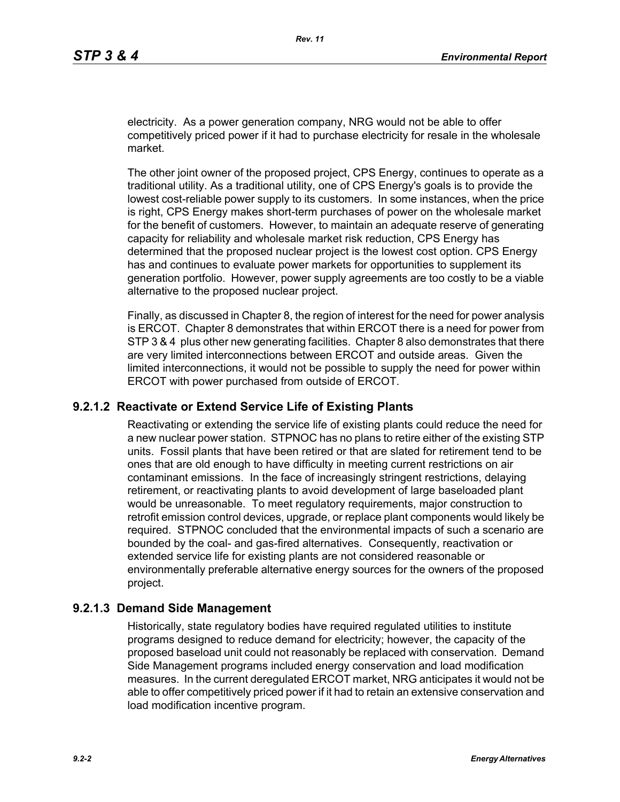electricity. As a power generation company, NRG would not be able to offer competitively priced power if it had to purchase electricity for resale in the wholesale market.

The other joint owner of the proposed project, CPS Energy, continues to operate as a traditional utility. As a traditional utility, one of CPS Energy's goals is to provide the lowest cost-reliable power supply to its customers. In some instances, when the price is right, CPS Energy makes short-term purchases of power on the wholesale market for the benefit of customers. However, to maintain an adequate reserve of generating capacity for reliability and wholesale market risk reduction, CPS Energy has determined that the proposed nuclear project is the lowest cost option. CPS Energy has and continues to evaluate power markets for opportunities to supplement its generation portfolio. However, power supply agreements are too costly to be a viable alternative to the proposed nuclear project.

Finally, as discussed in Chapter 8, the region of interest for the need for power analysis is ERCOT. Chapter 8 demonstrates that within ERCOT there is a need for power from STP 3 & 4 plus other new generating facilities. Chapter 8 also demonstrates that there are very limited interconnections between ERCOT and outside areas. Given the limited interconnections, it would not be possible to supply the need for power within ERCOT with power purchased from outside of ERCOT.

### **9.2.1.2 Reactivate or Extend Service Life of Existing Plants**

Reactivating or extending the service life of existing plants could reduce the need for a new nuclear power station. STPNOC has no plans to retire either of the existing STP units. Fossil plants that have been retired or that are slated for retirement tend to be ones that are old enough to have difficulty in meeting current restrictions on air contaminant emissions. In the face of increasingly stringent restrictions, delaying retirement, or reactivating plants to avoid development of large baseloaded plant would be unreasonable. To meet regulatory requirements, major construction to retrofit emission control devices, upgrade, or replace plant components would likely be required. STPNOC concluded that the environmental impacts of such a scenario are bounded by the coal- and gas-fired alternatives. Consequently, reactivation or extended service life for existing plants are not considered reasonable or environmentally preferable alternative energy sources for the owners of the proposed project.

### **9.2.1.3 Demand Side Management**

Historically, state regulatory bodies have required regulated utilities to institute programs designed to reduce demand for electricity; however, the capacity of the proposed baseload unit could not reasonably be replaced with conservation. Demand Side Management programs included energy conservation and load modification measures. In the current deregulated ERCOT market, NRG anticipates it would not be able to offer competitively priced power if it had to retain an extensive conservation and load modification incentive program.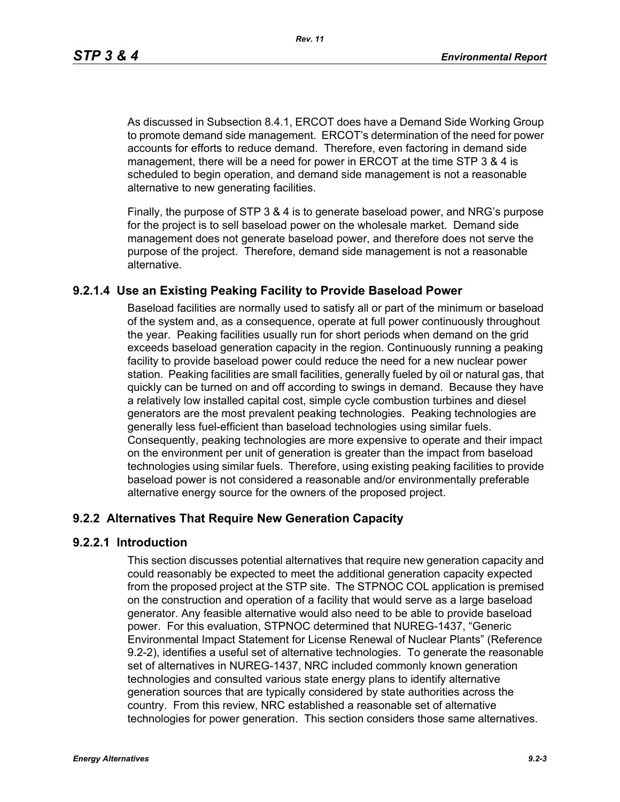*Rev. 11*

As discussed in Subsection 8.4.1, ERCOT does have a Demand Side Working Group to promote demand side management. ERCOT's determination of the need for power accounts for efforts to reduce demand. Therefore, even factoring in demand side management, there will be a need for power in ERCOT at the time STP 3 & 4 is scheduled to begin operation, and demand side management is not a reasonable alternative to new generating facilities.

[Finally, the purpose of STP 3 & 4 is to generate baseload power, and NRG's purpose](http://www.eere.energy.gov/windandhydro/windpoweringamerica/pdfs/power_supply_guidebook.pdf)  for the project is to sell baseload power on the wholesale market. Demand side management does not generate baseload power, and therefore does not serve the purpose of the project. Therefore, demand side management is not a reasonable alternative.

## **9.2.1.4 Use an Existing Peaking Facility to Provide Baseload Power**

Baseload facilities are normally used to satisfy all or part of the minimum or baseload of the system and, as a consequence, operate at full power continuously throughout the year. Peaking facilities usually run for short periods when demand on the grid exceeds baseload generation capacity in the region. Continuously running a peaking facility to provide baseload power could reduce the need for a new nuclear power station. Peaking facilities are small facilities, generally fueled by oil or natural gas, that quickly can be turned on and off according to swings in demand. Because they have a relatively low installed capital cost, simple cycle combustion turbines and diesel generators are the most prevalent peaking technologies. Peaking technologies are generally less fuel-efficient than baseload technologies using similar fuels. Consequently, peaking technologies are more expensive to operate and their impact on the environment per unit of generation is greater than the impact from baseload technologies using similar fuels. Therefore, using existing peaking facilities to provide baseload power is not considered a reasonable and/or environmentally preferable alternative energy source for the owners of the proposed project.

## **9.2.2 Alternatives That Require New Generation Capacity**

### **9.2.2.1 Introduction**

This section discusses potential alternatives that require new generation capacity and could reasonably be expected to meet the additional generation capacity expected from the proposed project at the STP site. The STPNOC COL application is premised on the construction and operation of a facility that would serve as a large baseload generator. Any feasible alternative would also need to be able to provide baseload power. For this evaluation, STPNOC determined that NUREG-1437, "Generic Environmental Impact Statement for License Renewal of Nuclear Plants" (Reference 9.2-2), identifies a useful set of alternative technologies. To generate the reasonable set of alternatives in NUREG-1437, NRC included commonly known generation technologies and consulted various state energy plans to identify alternative generation sources that are typically considered by state authorities across the country. From this review, NRC established a reasonable set of alternative technologies for power generation. This section considers those same alternatives.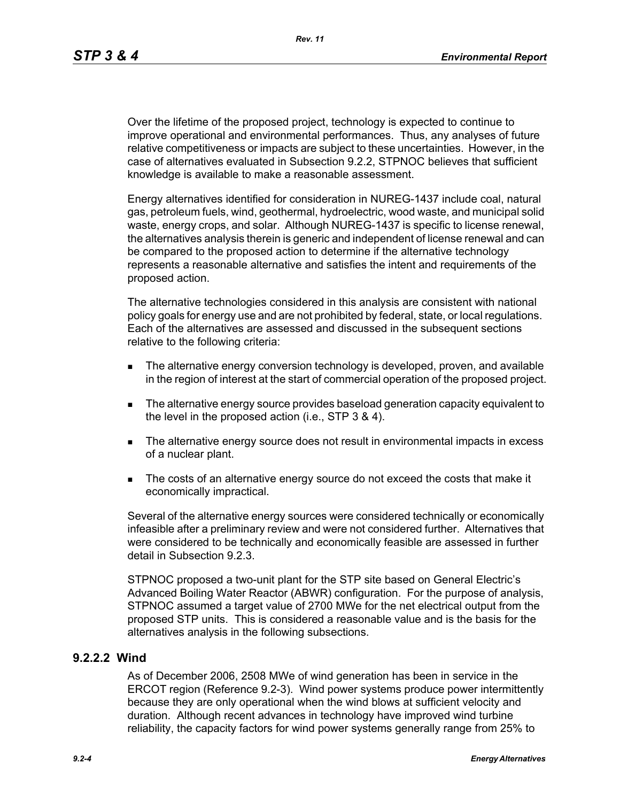Over the lifetime of the proposed project, technology is expected to continue to improve operational and environmental performances. Thus, any analyses of future relative competitiveness or impacts are subject to these uncertainties. However, in the case of alternatives evaluated in Subsection 9.2.2, STPNOC believes that sufficient knowledge is available to make a reasonable assessment.

Energy alternatives identified for consideration in NUREG-1437 include coal, natural gas, petroleum fuels, wind, geothermal, hydroelectric, wood waste, and municipal solid waste, energy crops, and solar. Although NUREG-1437 is specific to license renewal, the alternatives analysis therein is generic and independent of license renewal and can be compared to the proposed action to determine if the alternative technology represents a reasonable alternative and satisfies the intent and requirements of the proposed action.

The alternative technologies considered in this analysis are consistent with national policy goals for energy use and are not prohibited by federal, state, or local regulations. Each of the alternatives are assessed and discussed in the subsequent sections relative to the following criteria:

- **The alternative energy conversion technology is developed, proven, and available** in the region of interest at the start of commercial operation of the proposed project.
- The alternative energy source provides baseload generation capacity equivalent to the level in the proposed action (i.e., STP 3 & 4).
- The alternative energy source does not result in environmental impacts in excess of a nuclear plant.
- The costs of an alternative energy source do not exceed the costs that make it economically impractical.

Several of the alternative energy sources were considered technically or economically infeasible after a preliminary review and were not considered further. Alternatives that were considered to be technically and economically feasible are assessed in further detail in Subsection 9.2.3.

STPNOC proposed a two-unit plant for the STP site based on General Electric's Advanced Boiling Water Reactor (ABWR) configuration. For the purpose of analysis, STPNOC assumed a target value of 2700 MWe for the net electrical output from the proposed STP units. This is considered a reasonable value and is the basis for the alternatives analysis in the following subsections.

### **9.2.2.2 Wind**

As of December 2006, 2508 MWe of wind generation has been in service in the ERCOT region (Reference 9.2-3). Wind power systems produce power intermittently because they are only operational when the wind blows at sufficient velocity and duration. Although recent advances in technology have improved wind turbine reliability, the capacity factors for wind power systems generally range from 25% to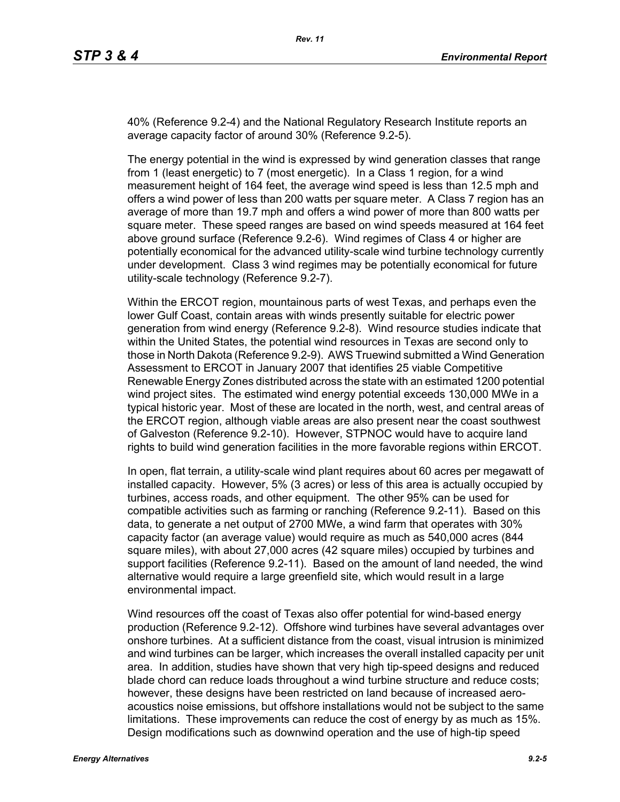40% (Reference 9.2-4) and the National Regulatory Research Institute reports an average capacity factor of around 30% (Reference 9.2-5).

The energy potential in the wind is expressed by wind generation classes that range from 1 (least energetic) to 7 (most energetic). In a Class 1 region, for a wind measurement height of 164 feet, the average wind speed is less than 12.5 mph and offers a wind power of less than 200 watts per square meter. A Class 7 region has an average of more than 19.7 mph and offers a wind power of more than 800 watts per square meter. These speed ranges are based on wind speeds measured at 164 feet above ground surface (Reference 9.2-6). Wind regimes of Class 4 or higher are potentially economical for the advanced utility-scale wind turbine technology currently under development. Class 3 wind regimes may be potentially economical for future utility-scale technology (Reference 9.2-7).

Within the ERCOT region, mountainous parts of west Texas, and perhaps even the lower Gulf Coast, contain areas with winds presently suitable for electric power generation from wind energy (Reference 9.2-8). Wind resource studies indicate that within the United States, the potential wind resources in Texas are second only to those in North Dakota (Reference 9.2-9). AWS Truewind submitted a Wind Generation Assessment to ERCOT in January 2007 that identifies 25 viable Competitive Renewable Energy Zones distributed across the state with an estimated 1200 potential wind project sites. The estimated wind energy potential exceeds 130,000 MWe in a typical historic year. Most of these are located in the north, west, and central areas of the ERCOT region, although viable areas are also present near the coast southwest of Galveston (Reference 9.2-10). However, STPNOC would have to acquire land rights to build wind generation facilities in the more favorable regions within ERCOT.

In open, flat terrain, a utility-scale wind plant requires about 60 acres per megawatt of installed capacity. However, 5% (3 acres) or less of this area is actually occupied by turbines, access roads, and other equipment. The other 95% can be used for compatible activities such as farming or ranching (Reference 9.2-11). Based on this data, to generate a net output of 2700 MWe, a wind farm that operates with 30% capacity factor (an average value) would require as much as 540,000 acres (844 square miles), with about 27,000 acres (42 square miles) occupied by turbines and support facilities (Reference 9.2-11). Based on the amount of land needed, the wind alternative would require a large greenfield site, which would result in a large environmental impact.

Wind resources off the coast of Texas also offer potential for wind-based energy production (Reference 9.2-12). Offshore wind turbines have several advantages over onshore turbines. At a sufficient distance from the coast, visual intrusion is minimized and wind turbines can be larger, which increases the overall installed capacity per unit area. In addition, studies have shown that very high tip-speed designs and reduced blade chord can reduce loads throughout a wind turbine structure and reduce costs; however, these designs have been restricted on land because of increased aeroacoustics noise emissions, but offshore installations would not be subject to the same limitations. These improvements can reduce the cost of energy by as much as 15%. Design modifications such as downwind operation and the use of high-tip speed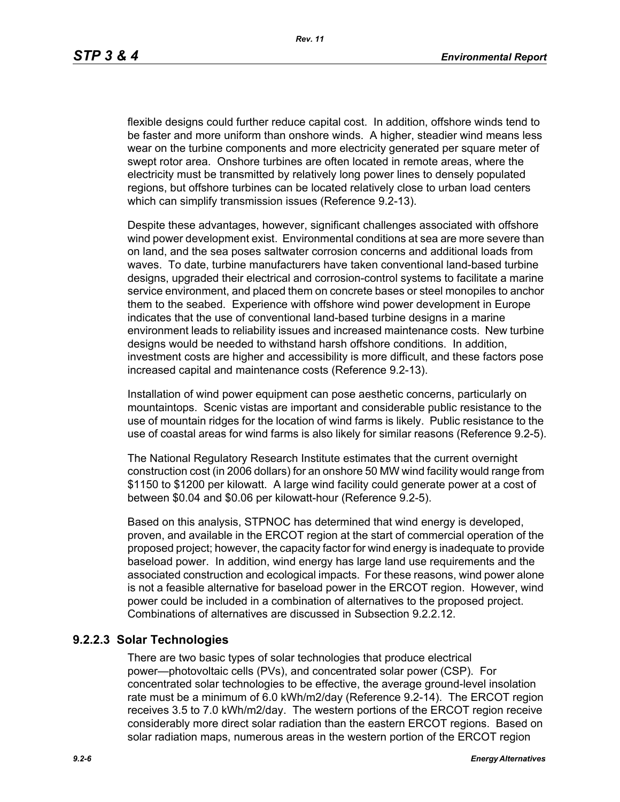flexible designs could further reduce capital cost. In addition, offshore winds tend to be faster and more uniform than onshore winds. A higher, steadier wind means less wear on the turbine components and more electricity generated per square meter of swept rotor area. Onshore turbines are often located in remote areas, where the electricity must be transmitted by relatively long power lines to densely populated regions, but offshore turbines can be located relatively close to urban load centers which can simplify transmission issues (Reference 9.2-13).

[Despite these advantages, however, significant challenges associated with offshore](http://www.nrri.ohio-state.edu/)  [wind power development exist. Environmental conditions at sea are more severe than](http://www.nrri.ohio-state.edu/)  on land, and the sea poses saltwater corrosion concerns and additional loads from waves. To date, turbine manufacturers have taken conventional land-based turbine designs, upgraded their electrical and corrosion-control systems to facilitate a marine service environment, and placed them on concrete bases or steel monopiles to anchor them to the seabed. Experience with offshore wind power development in Europe [indicates that the use of conventional land-based turbine designs in a marine](http://www.nrri.ohio-state.edu/)  [environment leads to reliability issues and increased maintenance costs. New turbine](http://www.nrri.ohio-state.edu/)  designs would be needed to withstand harsh offshore conditions. In addition, investment costs are higher and accessibility is more difficult, and these factors pose increased capital and maintenance costs (Reference 9.2-13).

Installation of wind power equipment can pose aesthetic concerns, particularly on mountaintops. Scenic vistas are important and considerable public resistance to the use of mountain ridges for the location of wind farms is likely. Public resistance to the use of coastal areas for wind farms is also likely for similar reasons (Reference 9.2-5).

The National Regulatory Research Institute estimates that the current overnight construction cost (in 2006 dollars) for an onshore 50 MW wind facility would range from \$1150 to \$1200 per kilowatt. A large wind facility could generate power at a cost of between \$0.04 and \$0.06 per kilowatt-hour (Reference 9.2-5).

Based on this analysis, STPNOC has determined that wind energy is developed, proven, and available in the ERCOT region at the start of commercial operation of the [proposed project; however, the capacity factor for wind energy is inadequate to provide](http://www.infinitepower.org/resgeothermal.htm)  baseload power. In addition, wind energy has large land use requirements and the associated construction and ecological impacts. For these reasons, wind power alone is not a feasible alternative for baseload power in the ERCOT region. However, wind power could be included in a combination of alternatives to the proposed project. Combinations of alternatives are discussed in Subsection 9.2.2.12.

### **9.2.2.3 Solar Technologies**

There are two basic types of solar technologies that produce electrical power—photovoltaic cells (PVs), and concentrated solar power (CSP). For concentrated solar technologies to be effective, the average ground-level insolation rate must be a minimum of 6.0 kWh/m2/day (Reference 9.2-14). The ERCOT region receives 3.5 to 7.0 kWh/m2/day. The western portions of the ERCOT region receive considerably more direct solar radiation than the eastern ERCOT regions. Based on solar radiation maps, numerous areas in the western portion of the ERCOT region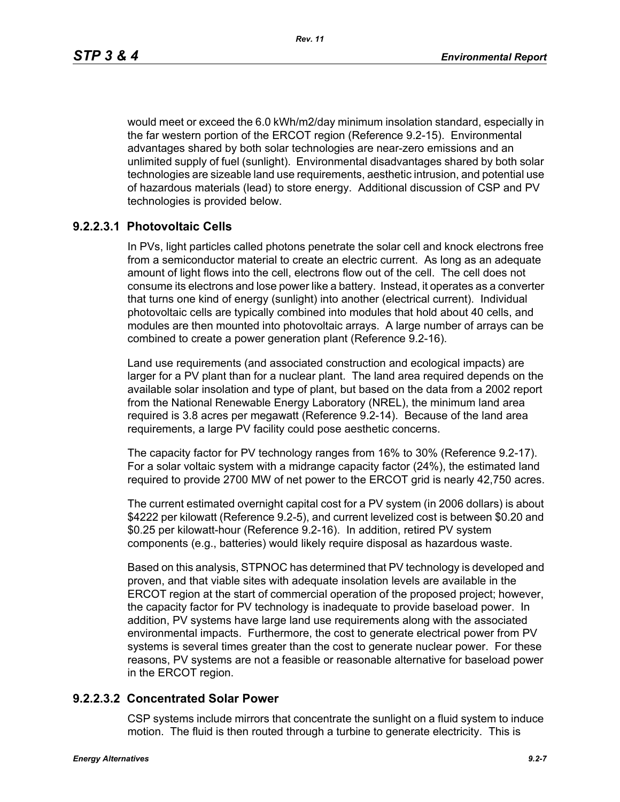would meet or exceed the 6.0 kWh/m2/day minimum insolation standard, especially in the far western portion of the ERCOT region (Reference 9.2-15). Environmental advantages shared by both solar technologies are near-zero emissions and an unlimited supply of fuel (sunlight). Environmental disadvantages shared by both solar technologies are sizeable land use requirements, aesthetic intrusion, and potential use of hazardous materials (lead) to store energy. Additional discussion of CSP and PV technologies is provided below.

## **9.2.2.3.1 Photovoltaic Cells**

In PVs, light particles called photons penetrate the solar cell and knock electrons free from a semiconductor material to create an electric current. As long as an adequate amount of light flows into the cell, electrons flow out of the cell. The cell does not consume its electrons and lose power like a battery. Instead, it operates as a converter that turns one kind of energy (sunlight) into another (electrical current). Individual photovoltaic cells are typically combined into modules that hold about 40 cells, and modules are then mounted into photovoltaic arrays. A large number of arrays can be combined to create a power generation plant (Reference 9.2-16).

Land use requirements (and associated construction and ecological impacts) are larger for a PV plant than for a nuclear plant. The land area required depends on the available solar insolation and type of plant, but based on the data from a 2002 report from the National Renewable Energy Laboratory (NREL), the minimum land area required is 3.8 acres per megawatt (Reference 9.2-14). Because of the land area requirements, a large PV facility could pose aesthetic concerns.

The capacity factor for PV technology ranges from 16% to 30% (Reference 9.2-17). For a solar voltaic system with a midrange capacity factor (24%), the estimated land required to provide 2700 MW of net power to the ERCOT grid is nearly 42,750 acres.

The current estimated overnight capital cost for a PV system (in 2006 dollars) is about \$4222 per kilowatt (Reference 9.2-5), and current levelized cost is between \$0.20 and \$0.25 per kilowatt-hour (Reference 9.2-16). In addition, retired PV system components (e.g., batteries) would likely require disposal as hazardous waste.

Based on this analysis, STPNOC has determined that PV technology is developed and proven, and that viable sites with adequate insolation levels are available in the ERCOT region at the start of commercial operation of the proposed project; however, the capacity factor for PV technology is inadequate to provide baseload power. In addition, PV systems have large land use requirements along with the associated environmental impacts. Furthermore, the cost to generate electrical power from PV systems is several times greater than the cost to generate nuclear power. For these reasons, PV systems are not a feasible or reasonable alternative for baseload power in the ERCOT region.

### **9.2.2.3.2 Concentrated Solar Power**

CSP systems include mirrors that concentrate the sunlight on a fluid system to induce motion. The fluid is then routed through a turbine to generate electricity. This is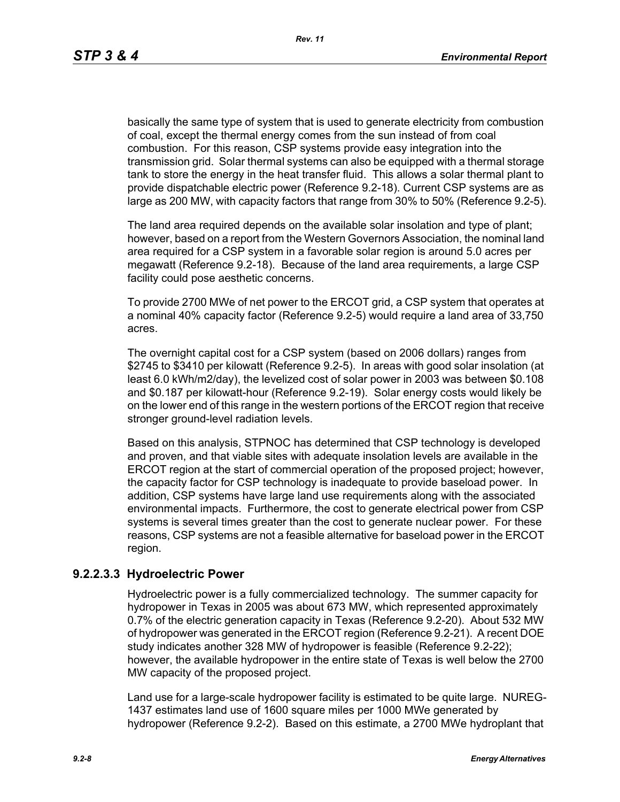basically the same type of system that is used to generate electricity from combustion of coal, except the thermal energy comes from the sun instead of from coal combustion. For this reason, CSP systems provide easy integration into the transmission grid. Solar thermal systems can also be equipped with a thermal storage tank to store the energy in the heat transfer fluid. This allows a solar thermal plant to provide dispatchable electric power (Reference 9.2-18). Current CSP systems are as large as 200 MW, with capacity factors that range from 30% to 50% (Reference 9.2-5).

The land area required depends on the available solar insolation and type of plant; however, based on a report from the Western Governors Association, the nominal land area required for a CSP system in a favorable solar region is around 5.0 acres per megawatt (Reference 9.2-18). Because of the land area requirements, a large CSP facility could pose aesthetic concerns.

To provide 2700 MWe of net power to the ERCOT grid, a CSP system that operates at a nominal 40% capacity factor (Reference 9.2-5) would require a land area of 33,750 acres.

The overnight capital cost for a CSP system (based on 2006 dollars) ranges from \$2745 to \$3410 per kilowatt (Reference 9.2-5). In areas with good solar insolation (at least 6.0 kWh/m2/day), the levelized cost of solar power in 2003 was between \$0.108 and \$0.187 per kilowatt-hour (Reference 9.2-19). Solar energy costs would likely be on the lower end of this range in the western portions of the ERCOT region that receive stronger ground-level radiation levels.

Based on this analysis, STPNOC has determined that CSP technology is developed and proven, and that viable sites with adequate insolation levels are available in the ERCOT region at the start of commercial operation of the proposed project; however, the capacity factor for CSP technology is inadequate to provide baseload power. In addition, CSP systems have large land use requirements along with the associated environmental impacts. Furthermore, the cost to generate electrical power from CSP systems is several times greater than the cost to generate nuclear power. For these reasons, CSP systems are not a feasible alternative for baseload power in the ERCOT region.

### **9.2.2.3.3 Hydroelectric Power**

Hydroelectric power is a fully commercialized technology. The summer capacity for hydropower in Texas in 2005 was about 673 MW, which represented approximately 0.7% of the electric generation capacity in Texas (Reference 9.2-20). About 532 MW of hydropower was generated in the ERCOT region (Reference 9.2-21). A recent DOE study indicates another 328 MW of hydropower is feasible (Reference 9.2-22); however, the available hydropower in the entire state of Texas is well below the 2700 MW capacity of the proposed project.

Land use for a large-scale hydropower facility is estimated to be quite large. NUREG-1437 estimates land use of 1600 square miles per 1000 MWe generated by hydropower (Reference 9.2-2). Based on this estimate, a 2700 MWe hydroplant that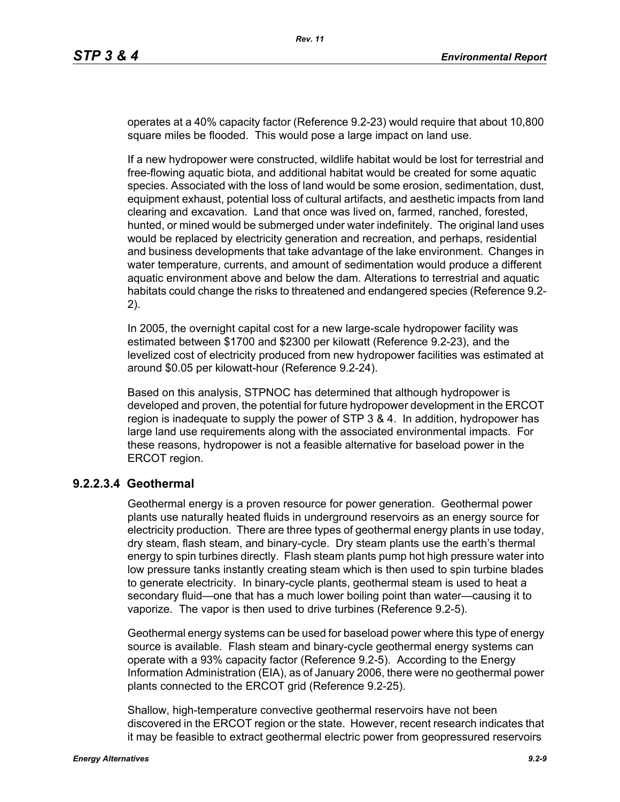operates at a 40% capacity factor (Reference 9.2-23) would require that about 10,800 square miles be flooded. This would pose a large impact on land use.

If a new hydropower were constructed, wildlife habitat would be lost for terrestrial and free-flowing aquatic biota, and additional habitat would be created for some aquatic species. Associated with the loss of land would be some erosion, sedimentation, dust, equipment exhaust, potential loss of cultural artifacts, and aesthetic impacts from land clearing and excavation. Land that once was lived on, farmed, ranched, forested, hunted, or mined would be submerged under water indefinitely. The original land uses would be replaced by electricity generation and recreation, and perhaps, residential and business developments that take advantage of the lake environment. Changes in water temperature, currents, and amount of sedimentation would produce a different aquatic environment above and below the dam. Alterations to terrestrial and aquatic habitats could change the risks to threatened and endangered species (Reference 9.2- 2).

In 2005, the overnight capital cost for a new large-scale hydropower facility was estimated between \$1700 and \$2300 per kilowatt (Reference 9.2-23), and the levelized cost of electricity produced from new hydropower facilities was estimated at around \$0.05 per kilowatt-hour (Reference 9.2-24).

Based on this analysis, STPNOC has determined that although hydropower is developed and proven, the potential for future hydropower development in the ERCOT region is inadequate to supply the power of STP 3 & 4. In addition, hydropower has large land use requirements along with the associated environmental impacts. For these reasons, hydropower is not a feasible alternative for baseload power in the ERCOT region.

#### **9.2.2.3.4 Geothermal**

Geothermal energy is a proven resource for power generation. Geothermal power plants use naturally heated fluids in underground reservoirs as an energy source for electricity production. There are three types of geothermal energy plants in use today, dry steam, flash steam, and binary-cycle. Dry steam plants use the earth's thermal energy to spin turbines directly. Flash steam plants pump hot high pressure water into low pressure tanks instantly creating steam which is then used to spin turbine blades to generate electricity. In binary-cycle plants, geothermal steam is used to heat a secondary fluid—one that has a much lower boiling point than water—causing it to vaporize. The vapor is then used to drive turbines (Reference 9.2-5).

Geothermal energy systems can be used for baseload power where this type of energy source is available. Flash steam and binary-cycle geothermal energy systems can operate with a 93% capacity factor (Reference 9.2-5). According to the Energy Information Administration (EIA), as of January 2006, there were no geothermal power plants connected to the ERCOT grid (Reference 9.2-25).

Shallow, high-temperature convective geothermal reservoirs have not been discovered in the ERCOT region or the state. However, recent research indicates that it may be feasible to extract geothermal electric power from geopressured reservoirs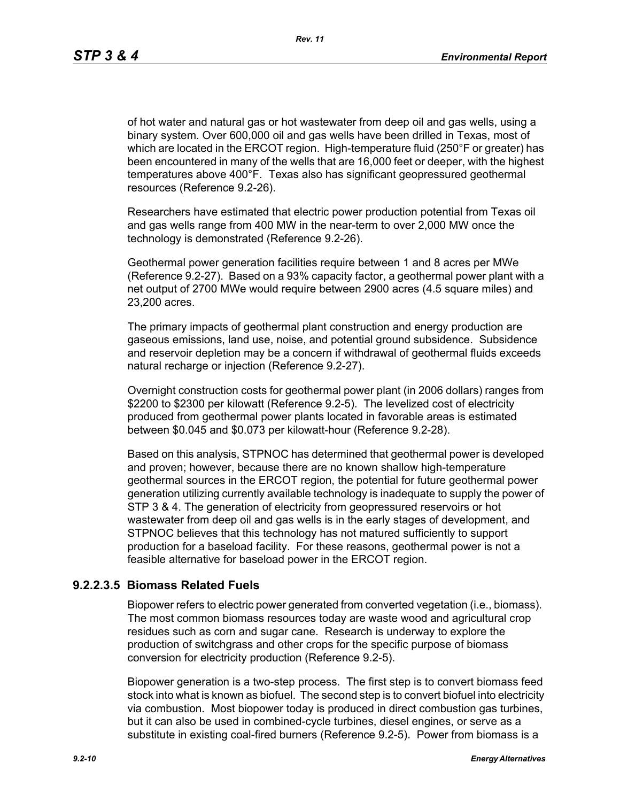*Rev. 11*

of hot water and natural gas or hot wastewater from deep oil and gas wells, using a binary system. Over 600,000 oil and gas wells have been drilled in Texas, most of which are located in the ERCOT region. High-temperature fluid (250°F or greater) has been encountered in many of the wells that are 16,000 feet or deeper, with the highest temperatures above 400°F. Texas also has significant geopressured geothermal resources (Reference 9.2-26).

Researchers have estimated that electric power production potential from Texas oil and gas wells range from 400 MW in the near-term to over 2,000 MW once the technology is demonstrated (Reference 9.2-26).

Geothermal power generation facilities require between 1 and 8 acres per MWe (Reference 9.2-27). Based on a 93% capacity factor, a geothermal power plant with a net output of 2700 MWe would require between 2900 acres (4.5 square miles) and 23,200 acres.

The primary impacts of geothermal plant construction and energy production are gaseous emissions, land use, noise, and potential ground subsidence. Subsidence and reservoir depletion may be a concern if withdrawal of geothermal fluids exceeds natural recharge or injection (Reference 9.2-27).

Overnight construction costs for geothermal power plant (in 2006 dollars) ranges from \$2200 to \$2300 per kilowatt (Reference 9.2-5). The levelized cost of electricity produced from geothermal power plants located in favorable areas is estimated between \$0.045 and \$0.073 per kilowatt-hour (Reference 9.2-28).

Based on this analysis, STPNOC has determined that geothermal power is developed and proven; however, because there are no known shallow high-temperature geothermal sources in the ERCOT region, the potential for future geothermal power generation utilizing currently available technology is inadequate to supply the power of STP 3 & 4. The generation of electricity from geopressured reservoirs or hot wastewater from deep oil and gas wells is in the early stages of development, and STPNOC believes that this technology has not matured sufficiently to support production for a baseload facility. For these reasons, geothermal power is not a feasible alternative for baseload power in the ERCOT region.

## **9.2.2.3.5 Biomass Related Fuels**

Biopower refers to electric power generated from converted vegetation (i.e., biomass). The most common biomass resources today are waste wood and agricultural crop residues such as corn and sugar cane. Research is underway to explore the production of switchgrass and other crops for the specific purpose of biomass conversion for electricity production (Reference 9.2-5).

Biopower generation is a two-step process. The first step is to convert biomass feed stock into what is known as biofuel. The second step is to convert biofuel into electricity via combustion. Most biopower today is produced in direct combustion gas turbines, but it can also be used in combined-cycle turbines, diesel engines, or serve as a substitute in existing coal-fired burners (Reference 9.2-5). Power from biomass is a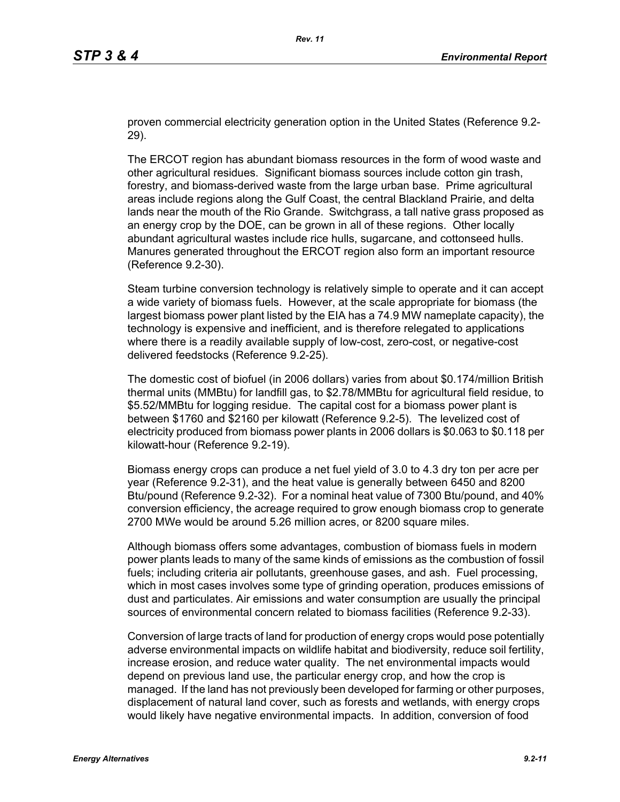proven commercial electricity generation option in the United States (Reference 9.2- 29).

The ERCOT region has abundant biomass resources in the form of wood waste and other agricultural residues. Significant biomass sources include cotton gin trash, forestry, and biomass-derived waste from the large urban base. Prime agricultural areas include regions along the Gulf Coast, the central Blackland Prairie, and delta lands near the mouth of the Rio Grande. Switchgrass, a tall native grass proposed as an energy crop by the DOE, can be grown in all of these regions. Other locally abundant agricultural wastes include rice hulls, sugarcane, and cottonseed hulls. Manures generated throughout the ERCOT region also form an important resource (Reference 9.2-30).

Steam turbine conversion technology is relatively simple to operate and it can accept a wide variety of biomass fuels. However, at the scale appropriate for biomass (the largest biomass power plant listed by the EIA has a 74.9 MW nameplate capacity), the technology is expensive and inefficient, and is therefore relegated to applications where there is a readily available supply of low-cost, zero-cost, or negative-cost delivered feedstocks (Reference 9.2-25).

The domestic cost of biofuel (in 2006 dollars) varies from about \$0.174/million British thermal units (MMBtu) for landfill gas, to \$2.78/MMBtu for agricultural field residue, to \$5.52/MMBtu for logging residue. The capital cost for a biomass power plant is between \$1760 and \$2160 per kilowatt (Reference 9.2-5). The levelized cost of electricity produced from biomass power plants in 2006 dollars is \$0.063 to \$0.118 per kilowatt-hour (Reference 9.2-19).

Biomass energy crops can produce a net fuel yield of 3.0 to 4.3 dry ton per acre per year (Reference 9.2-31), and the heat value is generally between 6450 and 8200 Btu/pound (Reference 9.2-32). For a nominal heat value of 7300 Btu/pound, and 40% conversion efficiency, the acreage required to grow enough biomass crop to generate 2700 MWe would be around 5.26 million acres, or 8200 square miles.

Although biomass offers some advantages, combustion of biomass fuels in modern power plants leads to many of the same kinds of emissions as the combustion of fossil fuels; including criteria air pollutants, greenhouse gases, and ash. Fuel processing, which in most cases involves some type of grinding operation, produces emissions of dust and particulates. Air emissions and water consumption are usually the principal sources of environmental concern related to biomass facilities (Reference 9.2-33).

Conversion of large tracts of land for production of energy crops would pose potentially adverse environmental impacts on wildlife habitat and biodiversity, reduce soil fertility, increase erosion, and reduce water quality. The net environmental impacts would depend on previous land use, the particular energy crop, and how the crop is managed. If the land has not previously been developed for farming or other purposes, displacement of natural land cover, such as forests and wetlands, with energy crops would likely have negative environmental impacts. In addition, conversion of food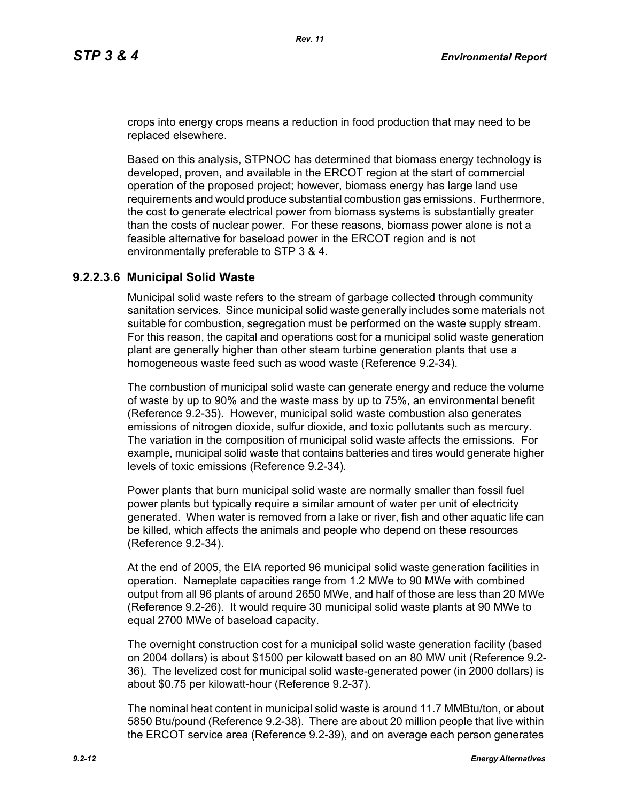crops into energy crops means a reduction in food production that may need to be replaced elsewhere.

Based on this analysis, STPNOC has determined that biomass energy technology is developed, proven, and available in the ERCOT region at the start of commercial operation of the proposed project; however, biomass energy has large land use requirements and would produce substantial combustion gas emissions. Furthermore, the cost to generate electrical power from biomass systems is substantially greater than the costs of nuclear power. For these reasons, biomass power alone is not a feasible alternative for baseload power in the ERCOT region and is not environmentally preferable to STP 3 & 4.

### **9.2.2.3.6 Municipal Solid Waste**

Municipal solid waste refers to the stream of garbage collected through community sanitation services. Since municipal solid waste generally includes some materials not suitable for combustion, segregation must be performed on the waste supply stream. For this reason, the capital and operations cost for a municipal solid waste generation plant are generally higher than other steam turbine generation plants that use a homogeneous waste feed such as wood waste (Reference 9.2-34).

The combustion of municipal solid waste can generate energy and reduce the volume of waste by up to 90% and the waste mass by up to 75%, an environmental benefit (Reference 9.2-35). However, municipal solid waste combustion also generates emissions of nitrogen dioxide, sulfur dioxide, and toxic pollutants such as mercury. The variation in the composition of municipal solid waste affects the emissions. For example, municipal solid waste that contains batteries and tires would generate higher levels of toxic emissions (Reference 9.2-34).

Power plants that burn municipal solid waste are normally smaller than fossil fuel power plants but typically require a similar amount of water per unit of electricity generated. When water is removed from a lake or river, fish and other aquatic life can be killed, which affects the animals and people who depend on these resources (Reference 9.2-34).

At the end of 2005, the EIA reported 96 municipal solid waste generation facilities in operation. Nameplate capacities range from 1.2 MWe to 90 MWe with combined output from all 96 plants of around 2650 MWe, and half of those are less than 20 MWe (Reference 9.2-26). It would require 30 municipal solid waste plants at 90 MWe to equal 2700 MWe of baseload capacity.

The overnight construction cost for a municipal solid waste generation facility (based on 2004 dollars) is about \$1500 per kilowatt based on an 80 MW unit (Reference 9.2- 36). The levelized cost for municipal solid waste-generated power (in 2000 dollars) is about \$0.75 per kilowatt-hour (Reference 9.2-37).

The nominal heat content in municipal solid waste is around 11.7 MMBtu/ton, or about 5850 Btu/pound (Reference 9.2-38). There are about 20 million people that live within the ERCOT service area (Reference 9.2-39), and on average each person generates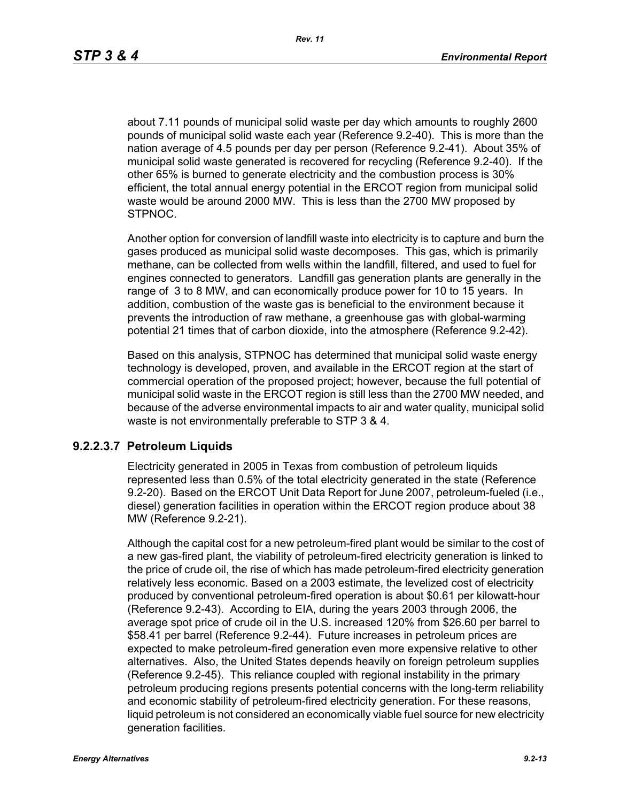about 7.11 pounds of municipal solid waste per day which amounts to roughly 2600 pounds of municipal solid waste each year (Reference 9.2-40). This is more than the nation average of 4.5 pounds per day per person (Reference 9.2-41). About 35% of municipal solid waste generated is recovered for recycling (Reference 9.2-40). If the other 65% is burned to generate electricity and the combustion process is 30% efficient, the total annual energy potential in the ERCOT region from municipal solid waste would be around 2000 MW. This is less than the 2700 MW proposed by STPNOC.

Another option for conversion of landfill waste into electricity is to capture and burn the gases produced as municipal solid waste decomposes. This gas, which is primarily methane, can be collected from wells within the landfill, filtered, and used to fuel for engines connected to generators. Landfill gas generation plants are generally in the range of 3 to 8 MW, and can economically produce power for 10 to 15 years. In addition, combustion of the waste gas is beneficial to the environment because it prevents the introduction of raw methane, a greenhouse gas with global-warming potential 21 times that of carbon dioxide, into the atmosphere (Reference 9.2-42).

Based on this analysis, STPNOC has determined that municipal solid waste energy technology is developed, proven, and available in the ERCOT region at the start of commercial operation of the proposed project; however, because the full potential of municipal solid waste in the ERCOT region is still less than the 2700 MW needed, and because of the adverse environmental impacts to air and water quality, municipal solid waste is not environmentally preferable to STP 3 & 4.

#### **9.2.2.3.7 Petroleum Liquids**

Electricity generated in 2005 in Texas from combustion of petroleum liquids represented less than 0.5% of the total electricity generated in the state (Reference 9.2-20). Based on the ERCOT Unit Data Report for June 2007, petroleum-fueled (i.e., diesel) generation facilities in operation within the ERCOT region produce about 38 MW (Reference 9.2-21).

Although the capital cost for a new petroleum-fired plant would be similar to the cost of a new gas-fired plant, the viability of petroleum-fired electricity generation is linked to the price of crude oil, the rise of which has made petroleum-fired electricity generation relatively less economic. Based on a 2003 estimate, the levelized cost of electricity produced by conventional petroleum-fired operation is about \$0.61 per kilowatt-hour (Reference 9.2-43). According to EIA, during the years 2003 through 2006, the average spot price of crude oil in the U.S. increased 120% from \$26.60 per barrel to \$58.41 per barrel (Reference 9.2-44). Future increases in petroleum prices are expected to make petroleum-fired generation even more expensive relative to other alternatives. Also, the United States depends heavily on foreign petroleum supplies (Reference 9.2-45). This reliance coupled with regional instability in the primary petroleum producing regions presents potential concerns with the long-term reliability and economic stability of petroleum-fired electricity generation. For these reasons, liquid petroleum is not considered an economically viable fuel source for new electricity generation facilities.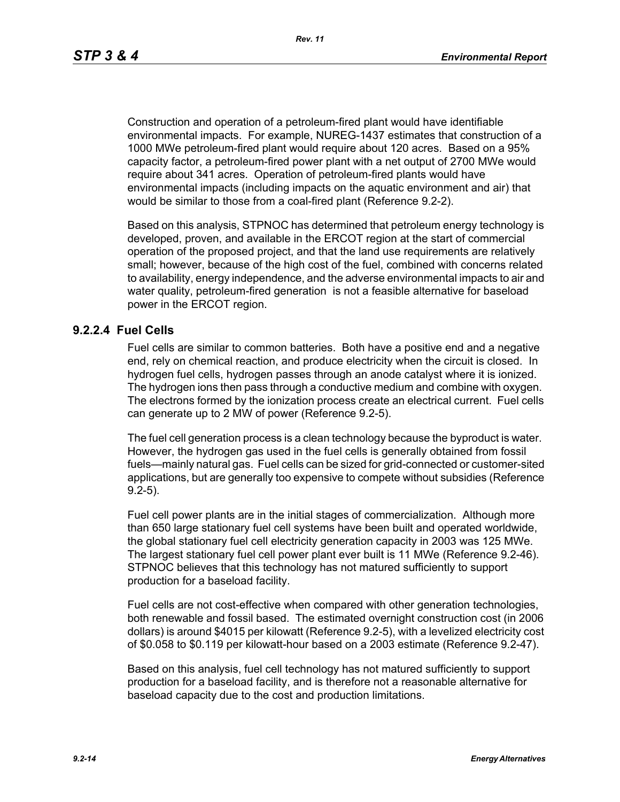Construction and operation of a petroleum-fired plant would have identifiable environmental impacts. For example, NUREG-1437 estimates that construction of a 1000 MWe petroleum-fired plant would require about 120 acres. Based on a 95% capacity factor, a petroleum-fired power plant with a net output of 2700 MWe would require about 341 acres. Operation of petroleum-fired plants would have environmental impacts (including impacts on the aquatic environment and air) that would be similar to those from a coal-fired plant (Reference 9.2-2).

Based on this analysis, STPNOC has determined that petroleum energy technology is developed, proven, and available in the ERCOT region at the start of commercial operation of the proposed project, and that the land use requirements are relatively small; however, because of the high cost of the fuel, combined with concerns related to availability, energy independence, and the adverse environmental impacts to air and water quality, petroleum-fired generation is not a feasible alternative for baseload power in the ERCOT region.

#### **9.2.2.4 Fuel Cells**

Fuel cells are similar to common batteries. Both have a positive end and a negative end, rely on chemical reaction, and produce electricity when the circuit is closed. In hydrogen fuel cells, hydrogen passes through an anode catalyst where it is ionized. The hydrogen ions then pass through a conductive medium and combine with oxygen. The electrons formed by the ionization process create an electrical current. Fuel cells can generate up to 2 MW of power (Reference 9.2-5).

The fuel cell generation process is a clean technology because the byproduct is water. However, the hydrogen gas used in the fuel cells is generally obtained from fossil fuels—mainly natural gas. Fuel cells can be sized for grid-connected or customer-sited applications, but are generally too expensive to compete without subsidies (Reference 9.2-5).

Fuel cell power plants are in the initial stages of commercialization. Although more than 650 large stationary fuel cell systems have been built and operated worldwide, the global stationary fuel cell electricity generation capacity in 2003 was 125 MWe. The largest stationary fuel cell power plant ever built is 11 MWe (Reference 9.2-46). STPNOC believes that this technology has not matured sufficiently to support production for a baseload facility.

Fuel cells are not cost-effective when compared with other generation technologies, both renewable and fossil based. The estimated overnight construction cost (in 2006 dollars) is around \$4015 per kilowatt (Reference 9.2-5), with a levelized electricity cost of \$0.058 to \$0.119 per kilowatt-hour based on a 2003 estimate (Reference 9.2-47).

Based on this analysis, fuel cell technology has not matured sufficiently to support production for a baseload facility, and is therefore not a reasonable alternative for baseload capacity due to the cost and production limitations.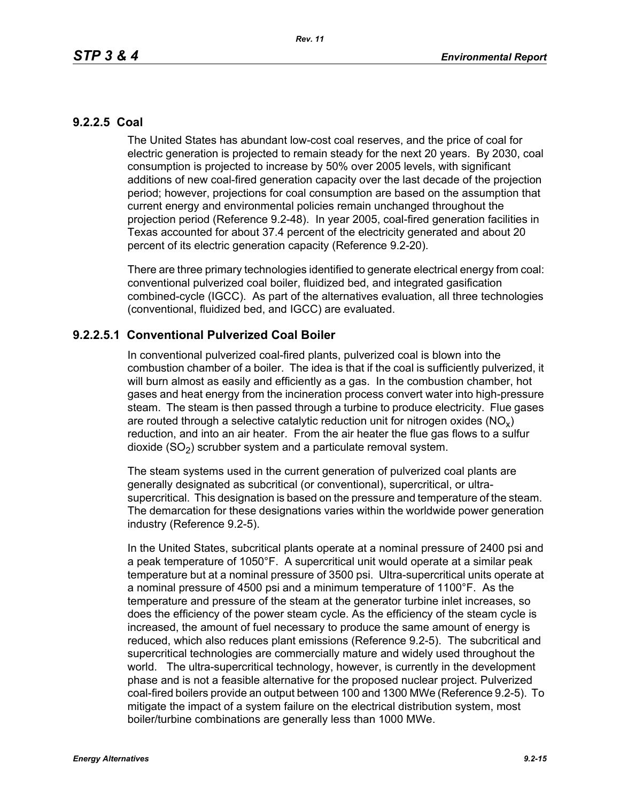## **9.2.2.5 Coal**

The United States has abundant low-cost coal reserves, and the price of coal for electric generation is projected to remain steady for the next 20 years. By 2030, coal consumption is projected to increase by 50% over 2005 levels, with significant additions of new coal-fired generation capacity over the last decade of the projection period; however, projections for coal consumption are based on the assumption that current energy and environmental policies remain unchanged throughout the projection period (Reference 9.2-48). In year 2005, coal-fired generation facilities in Texas accounted for about 37.4 percent of the electricity generated and about 20 percent of its electric generation capacity (Reference 9.2-20).

There are three primary technologies identified to generate electrical energy from coal: conventional pulverized coal boiler, fluidized bed, and integrated gasification combined-cycle (IGCC). As part of the alternatives evaluation, all three technologies (conventional, fluidized bed, and IGCC) are evaluated.

## **9.2.2.5.1 Conventional Pulverized Coal Boiler**

In conventional pulverized coal-fired plants, pulverized coal is blown into the combustion chamber of a boiler. The idea is that if the coal is sufficiently pulverized, it will burn almost as easily and efficiently as a gas. In the combustion chamber, hot gases and heat energy from the incineration process convert water into high-pressure steam. The steam is then passed through a turbine to produce electricity. Flue gases are routed through a selective catalytic reduction unit for nitrogen oxides ( $NO<sub>v</sub>$ ) reduction, and into an air heater. From the air heater the flue gas flows to a sulfur dioxide  $(SO<sub>2</sub>)$  scrubber system and a particulate removal system.

The steam systems used in the current generation of pulverized coal plants are generally designated as subcritical (or conventional), supercritical, or ultrasupercritical. This designation is based on the pressure and temperature of the steam. The demarcation for these designations varies within the worldwide power generation industry (Reference 9.2-5).

In the United States, subcritical plants operate at a nominal pressure of 2400 psi and a peak temperature of 1050°F. A supercritical unit would operate at a similar peak temperature but at a nominal pressure of 3500 psi. Ultra-supercritical units operate at a nominal pressure of 4500 psi and a minimum temperature of 1100°F. As the temperature and pressure of the steam at the generator turbine inlet increases, so does the efficiency of the power steam cycle. As the efficiency of the steam cycle is increased, the amount of fuel necessary to produce the same amount of energy is reduced, which also reduces plant emissions (Reference 9.2-5). The subcritical and supercritical technologies are commercially mature and widely used throughout the world. The ultra-supercritical technology, however, is currently in the development phase and is not a feasible alternative for the proposed nuclear project. Pulverized coal-fired boilers provide an output between 100 and 1300 MWe (Reference 9.2-5). To mitigate the impact of a system failure on the electrical distribution system, most boiler/turbine combinations are generally less than 1000 MWe.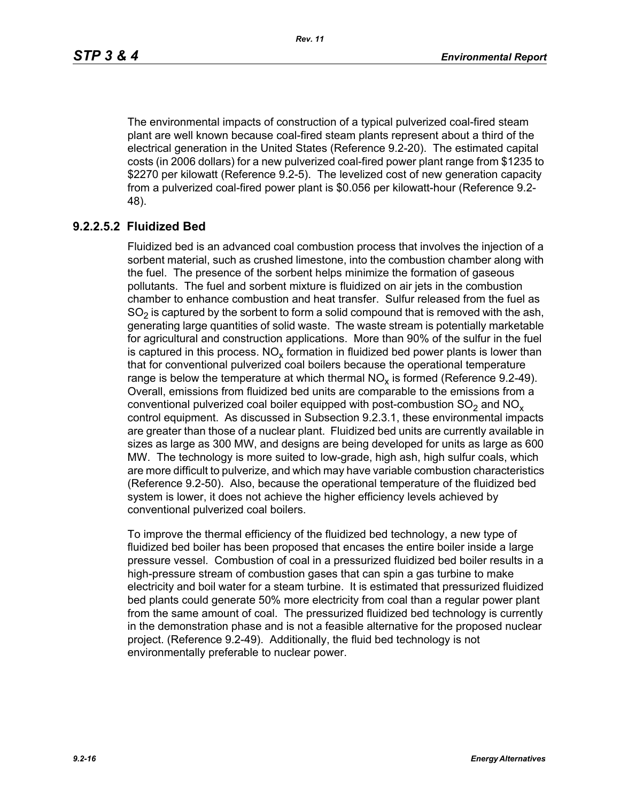The environmental impacts of construction of a typical pulverized coal-fired steam plant are well known because coal-fired steam plants represent about a third of the electrical generation in the United States (Reference 9.2-20). The estimated capital costs (in 2006 dollars) for a new pulverized coal-fired power plant range from \$1235 to \$2270 per kilowatt (Reference 9.2-5). The levelized cost of new generation capacity from a pulverized coal-fired power plant is \$0.056 per kilowatt-hour (Reference 9.2- 48).

# **9.2.2.5.2 Fluidized Bed**

Fluidized bed is an advanced coal combustion process that involves the injection of a sorbent material, such as crushed limestone, into the combustion chamber along with the fuel. The presence of the sorbent helps minimize the formation of gaseous pollutants. The fuel and sorbent mixture is fluidized on air jets in the combustion chamber to enhance combustion and heat transfer. Sulfur released from the fuel as  $SO<sub>2</sub>$  is captured by the sorbent to form a solid compound that is removed with the ash, generating large quantities of solid waste. The waste stream is potentially marketable for agricultural and construction applications. More than 90% of the sulfur in the fuel is captured in this process.  $NO_{v}$  formation in fluidized bed power plants is lower than that for conventional pulverized coal boilers because the operational temperature range is below the temperature at which thermal  $NO<sub>x</sub>$  is formed (Reference 9.2-49). Overall, emissions from fluidized bed units are comparable to the emissions from a conventional pulverized coal boiler equipped with post-combustion  $SO<sub>2</sub>$  and  $NO<sub>x</sub>$ control equipment. As discussed in Subsection 9.2.3.1, these environmental impacts are greater than those of a nuclear plant. Fluidized bed units are currently available in sizes as large as 300 MW, and designs are being developed for units as large as 600 MW. The technology is more suited to low-grade, high ash, high sulfur coals, which are more difficult to pulverize, and which may have variable combustion characteristics (Reference 9.2-50). Also, because the operational temperature of the fluidized bed system is lower, it does not achieve the higher efficiency levels achieved by conventional pulverized coal boilers.

To improve the thermal efficiency of the fluidized bed technology, a new type of fluidized bed boiler has been proposed that encases the entire boiler inside a large pressure vessel. Combustion of coal in a pressurized fluidized bed boiler results in a high-pressure stream of combustion gases that can spin a gas turbine to make electricity and boil water for a steam turbine. It is estimated that pressurized fluidized bed plants could generate 50% more electricity from coal than a regular power plant from the same amount of coal. The pressurized fluidized bed technology is currently in the demonstration phase and is not a feasible alternative for the proposed nuclear project. (Reference 9.2-49). Additionally, the fluid bed technology is not environmentally preferable to nuclear power.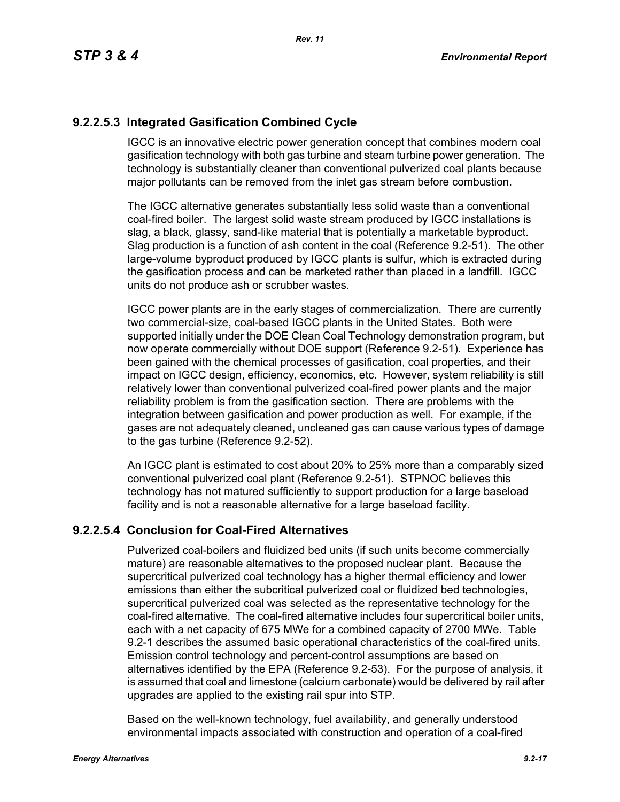# **9.2.2.5.3 Integrated Gasification Combined Cycle**

IGCC is an innovative electric power generation concept that combines modern coal gasification technology with both gas turbine and steam turbine power generation. The technology is substantially cleaner than conventional pulverized coal plants because major pollutants can be removed from the inlet gas stream before combustion.

The IGCC alternative generates substantially less solid waste than a conventional coal-fired boiler. The largest solid waste stream produced by IGCC installations is slag, a black, glassy, sand-like material that is potentially a marketable byproduct. Slag production is a function of ash content in the coal (Reference 9.2-51). The other large-volume byproduct produced by IGCC plants is sulfur, which is extracted during the gasification process and can be marketed rather than placed in a landfill. IGCC units do not produce ash or scrubber wastes.

IGCC power plants are in the early stages of commercialization. There are currently two commercial-size, coal-based IGCC plants in the United States. Both were supported initially under the DOE Clean Coal Technology demonstration program, but now operate commercially without DOE support (Reference 9.2-51). Experience has been gained with the chemical processes of gasification, coal properties, and their impact on IGCC design, efficiency, economics, etc. However, system reliability is still relatively lower than conventional pulverized coal-fired power plants and the major reliability problem is from the gasification section. There are problems with the integration between gasification and power production as well. For example, if the gases are not adequately cleaned, uncleaned gas can cause various types of damage to the gas turbine (Reference 9.2-52).

An IGCC plant is estimated to cost about 20% to 25% more than a comparably sized conventional pulverized coal plant (Reference 9.2-51). STPNOC believes this technology has not matured sufficiently to support production for a large baseload facility and is not a reasonable alternative for a large baseload facility.

## **9.2.2.5.4 Conclusion for Coal-Fired Alternatives**

Pulverized coal-boilers and fluidized bed units (if such units become commercially mature) are reasonable alternatives to the proposed nuclear plant. Because the supercritical pulverized coal technology has a higher thermal efficiency and lower emissions than either the subcritical pulverized coal or fluidized bed technologies, supercritical pulverized coal was selected as the representative technology for the coal-fired alternative. The coal-fired alternative includes four supercritical boiler units, each with a net capacity of 675 MWe for a combined capacity of 2700 MWe. Table 9.2-1 describes the assumed basic operational characteristics of the coal-fired units. Emission control technology and percent-control assumptions are based on alternatives identified by the EPA (Reference 9.2-53). For the purpose of analysis, it is assumed that coal and limestone (calcium carbonate) would be delivered by rail after upgrades are applied to the existing rail spur into STP.

Based on the well-known technology, fuel availability, and generally understood environmental impacts associated with construction and operation of a coal-fired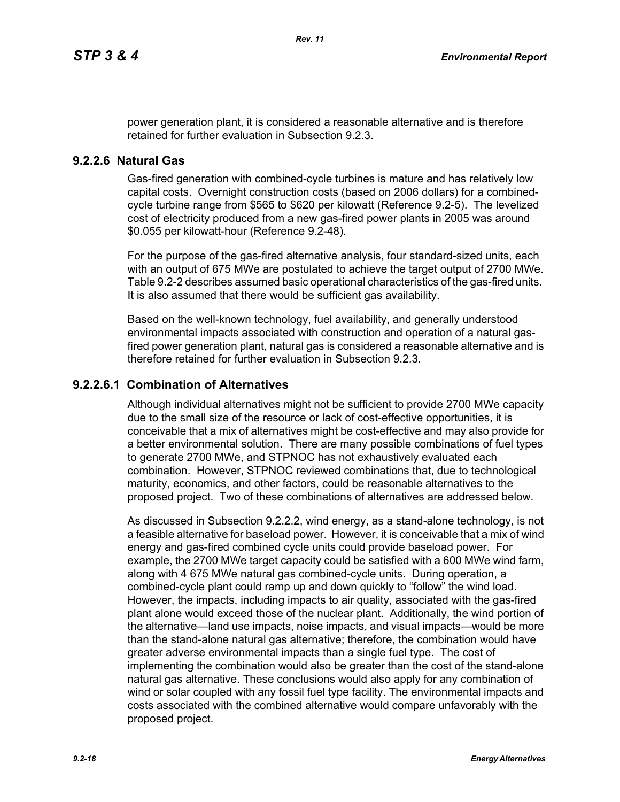power generation plant, it is considered a reasonable alternative and is therefore retained for further evaluation in Subsection 9.2.3.

## **9.2.2.6 Natural Gas**

Gas-fired generation with combined-cycle turbines is mature and has relatively low capital costs. Overnight construction costs (based on 2006 dollars) for a combinedcycle turbine range from \$565 to \$620 per kilowatt (Reference 9.2-5). The levelized cost of electricity produced from a new gas-fired power plants in 2005 was around \$0.055 per kilowatt-hour (Reference 9.2-48).

For the purpose of the gas-fired alternative analysis, four standard-sized units, each with an output of 675 MWe are postulated to achieve the target output of 2700 MWe. Table 9.2-2 describes assumed basic operational characteristics of the gas-fired units. It is also assumed that there would be sufficient gas availability.

Based on the well-known technology, fuel availability, and generally understood environmental impacts associated with construction and operation of a natural gasfired power generation plant, natural gas is considered a reasonable alternative and is therefore retained for further evaluation in Subsection 9.2.3.

## **9.2.2.6.1 Combination of Alternatives**

Although individual alternatives might not be sufficient to provide 2700 MWe capacity due to the small size of the resource or lack of cost-effective opportunities, it is conceivable that a mix of alternatives might be cost-effective and may also provide for a better environmental solution. There are many possible combinations of fuel types to generate 2700 MWe, and STPNOC has not exhaustively evaluated each combination. However, STPNOC reviewed combinations that, due to technological maturity, economics, and other factors, could be reasonable alternatives to the proposed project. Two of these combinations of alternatives are addressed below.

As discussed in Subsection 9.2.2.2, wind energy, as a stand-alone technology, is not a feasible alternative for baseload power. However, it is conceivable that a mix of wind energy and gas-fired combined cycle units could provide baseload power. For example, the 2700 MWe target capacity could be satisfied with a 600 MWe wind farm, along with 4 675 MWe natural gas combined-cycle units. During operation, a combined-cycle plant could ramp up and down quickly to "follow" the wind load. However, the impacts, including impacts to air quality, associated with the gas-fired plant alone would exceed those of the nuclear plant. Additionally, the wind portion of the alternative—land use impacts, noise impacts, and visual impacts—would be more than the stand-alone natural gas alternative; therefore, the combination would have greater adverse environmental impacts than a single fuel type. The cost of implementing the combination would also be greater than the cost of the stand-alone natural gas alternative. These conclusions would also apply for any combination of wind or solar coupled with any fossil fuel type facility. The environmental impacts and costs associated with the combined alternative would compare unfavorably with the proposed project.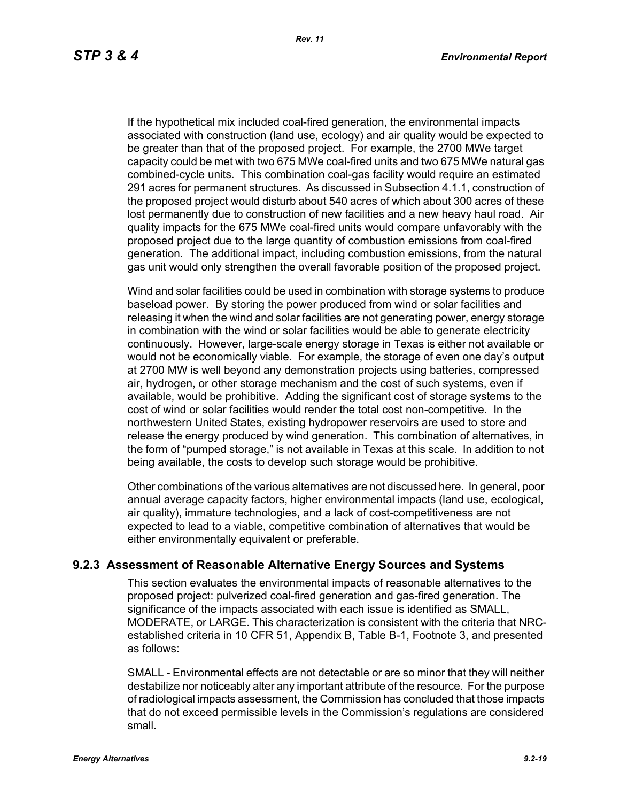If the hypothetical mix included coal-fired generation, the environmental impacts associated with construction (land use, ecology) and air quality would be expected to be greater than that of the proposed project. For example, the 2700 MWe target capacity could be met with two 675 MWe coal-fired units and two 675 MWe natural gas combined-cycle units. This combination coal-gas facility would require an estimated 291 acres for permanent structures. As discussed in Subsection 4.1.1, construction of the proposed project would disturb about 540 acres of which about 300 acres of these lost permanently due to construction of new facilities and a new heavy haul road. Air quality impacts for the 675 MWe coal-fired units would compare unfavorably with the proposed project due to the large quantity of combustion emissions from coal-fired generation. The additional impact, including combustion emissions, from the natural gas unit would only strengthen the overall favorable position of the proposed project.

Wind and solar facilities could be used in combination with storage systems to produce baseload power. By storing the power produced from wind or solar facilities and releasing it when the wind and solar facilities are not generating power, energy storage in combination with the wind or solar facilities would be able to generate electricity continuously. However, large-scale energy storage in Texas is either not available or would not be economically viable. For example, the storage of even one day's output at 2700 MW is well beyond any demonstration projects using batteries, compressed air, hydrogen, or other storage mechanism and the cost of such systems, even if available, would be prohibitive. Adding the significant cost of storage systems to the cost of wind or solar facilities would render the total cost non-competitive. In the northwestern United States, existing hydropower reservoirs are used to store and release the energy produced by wind generation. This combination of alternatives, in the form of "pumped storage," is not available in Texas at this scale. In addition to not being available, the costs to develop such storage would be prohibitive.

Other combinations of the various alternatives are not discussed here. In general, poor annual average capacity factors, higher environmental impacts (land use, ecological, air quality), immature technologies, and a lack of cost-competitiveness are not expected to lead to a viable, competitive combination of alternatives that would be either environmentally equivalent or preferable.

### **9.2.3 Assessment of Reasonable Alternative Energy Sources and Systems**

This section evaluates the environmental impacts of reasonable alternatives to the proposed project: pulverized coal-fired generation and gas-fired generation. The significance of the impacts associated with each issue is identified as SMALL, MODERATE, or LARGE. This characterization is consistent with the criteria that NRCestablished criteria in 10 CFR 51, Appendix B, Table B-1, Footnote 3, and presented as follows:

SMALL - Environmental effects are not detectable or are so minor that they will neither destabilize nor noticeably alter any important attribute of the resource. For the purpose of radiological impacts assessment, the Commission has concluded that those impacts that do not exceed permissible levels in the Commission's regulations are considered small.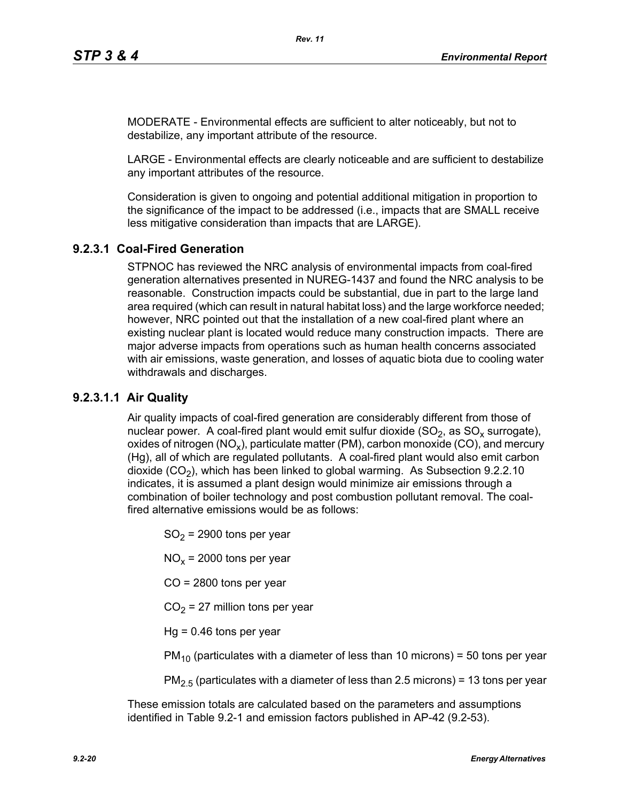MODERATE - Environmental effects are sufficient to alter noticeably, but not to destabilize, any important attribute of the resource.

LARGE - Environmental effects are clearly noticeable and are sufficient to destabilize any important attributes of the resource.

Consideration is given to ongoing and potential additional mitigation in proportion to the significance of the impact to be addressed (i.e., impacts that are SMALL receive less mitigative consideration than impacts that are LARGE).

# **9.2.3.1 Coal-Fired Generation**

STPNOC has reviewed the NRC analysis of environmental impacts from coal-fired generation alternatives presented in NUREG-1437 and found the NRC analysis to be reasonable. Construction impacts could be substantial, due in part to the large land area required (which can result in natural habitat loss) and the large workforce needed; however, NRC pointed out that the installation of a new coal-fired plant where an existing nuclear plant is located would reduce many construction impacts. There are major adverse impacts from operations such as human health concerns associated with air emissions, waste generation, and losses of aquatic biota due to cooling water withdrawals and discharges.

## **9.2.3.1.1 Air Quality**

Air quality impacts of coal-fired generation are considerably different from those of nuclear power. A coal-fired plant would emit sulfur dioxide  $(SO<sub>2</sub>)$ , as  $SO<sub>x</sub>$  surrogate), oxides of nitrogen (NO<sub>x</sub>), particulate matter (PM), carbon monoxide (CO), and mercury (Hg), all of which are regulated pollutants. A coal-fired plant would also emit carbon dioxide  $(CO<sub>2</sub>)$ , which has been linked to global warming. As Subsection 9.2.2.10 indicates, it is assumed a plant design would minimize air emissions through a combination of boiler technology and post combustion pollutant removal. The coalfired alternative emissions would be as follows:

 $SO<sub>2</sub>$  = 2900 tons per year

 $NO<sub>x</sub>$  = 2000 tons per year

CO = 2800 tons per year

 $CO<sub>2</sub> = 27$  million tons per year

 $Hq = 0.46$  tons per year

 $PM_{10}$  (particulates with a diameter of less than 10 microns) = 50 tons per year

 $PM<sub>2.5</sub>$  (particulates with a diameter of less than 2.5 microns) = 13 tons per year

These emission totals are calculated based on the parameters and assumptions identified in Table 9.2-1 and emission factors published in AP-42 (9.2-53).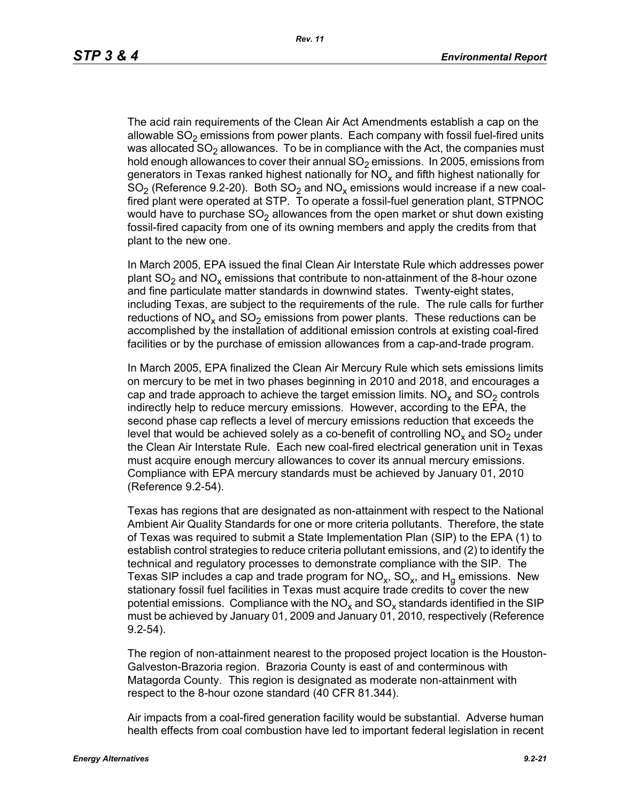The acid rain requirements of the Clean Air Act Amendments establish a cap on the allowable  $SO<sub>2</sub>$  emissions from power plants. Each company with fossil fuel-fired units was allocated  $SO<sub>2</sub>$  allowances. To be in compliance with the Act, the companies must hold enough allowances to cover their annual  $SO<sub>2</sub>$  emissions. In 2005, emissions from generators in Texas ranked highest nationally for  $NO<sub>x</sub>$  and fifth highest nationally for  $SO<sub>2</sub>$  (Reference 9.2-20). Both  $SO<sub>2</sub>$  and  $NO<sub>x</sub>$  emissions would increase if a new coalfired plant were operated at STP. To operate a fossil-fuel generation plant, STPNOC would have to purchase  $SO<sub>2</sub>$  allowances from the open market or shut down existing fossil-fired capacity from one of its owning members and apply the credits from that plant to the new one.

In March 2005, EPA issued the final Clean Air Interstate Rule which addresses power plant  $SO_2$  and  $NO_x$  emissions that contribute to non-attainment of the 8-hour ozone and fine particulate matter standards in downwind states. Twenty-eight states, including Texas, are subject to the requirements of the rule. The rule calls for further reductions of NO<sub>x</sub> and SO<sub>2</sub> emissions from power plants. These reductions can be accomplished by the installation of additional emission controls at existing coal-fired facilities or by the purchase of emission allowances from a cap-and-trade program.

In March 2005, EPA finalized the Clean Air Mercury Rule which sets emissions limits on mercury to be met in two phases beginning in 2010 and 2018, and encourages a cap and trade approach to achieve the target emission limits.  $NO<sub>x</sub>$  and  $SO<sub>2</sub>$  controls indirectly help to reduce mercury emissions. However, according to the EPA, the second phase cap reflects a level of mercury emissions reduction that exceeds the level that would be achieved solely as a co-benefit of controlling  $NO<sub>x</sub>$  and  $SO<sub>2</sub>$  under the Clean Air Interstate Rule. Each new coal-fired electrical generation unit in Texas must acquire enough mercury allowances to cover its annual mercury emissions. Compliance with EPA mercury standards must be achieved by January 01, 2010 (Reference 9.2-54).

Texas has regions that are designated as non-attainment with respect to the National Ambient Air Quality Standards for one or more criteria pollutants. Therefore, the state of Texas was required to submit a State Implementation Plan (SIP) to the EPA (1) to establish control strategies to reduce criteria pollutant emissions, and (2) to identify the technical and regulatory processes to demonstrate compliance with the SIP. The Texas SIP includes a cap and trade program for  $NO<sub>x</sub>$ ,  $SO<sub>x</sub>$ , and  $H<sub>q</sub>$  emissions. New stationary fossil fuel facilities in Texas must acquire trade credits to cover the new potential emissions. Compliance with the  $NO<sub>x</sub>$  and  $SO<sub>x</sub>$  standards identified in the SIP must be achieved by January 01, 2009 and January 01, 2010, respectively (Reference 9.2-54).

The region of non-attainment nearest to the proposed project location is the Houston-Galveston-Brazoria region. Brazoria County is east of and conterminous with Matagorda County. This region is designated as moderate non-attainment with respect to the 8-hour ozone standard (40 CFR 81.344).

Air impacts from a coal-fired generation facility would be substantial. Adverse human health effects from coal combustion have led to important federal legislation in recent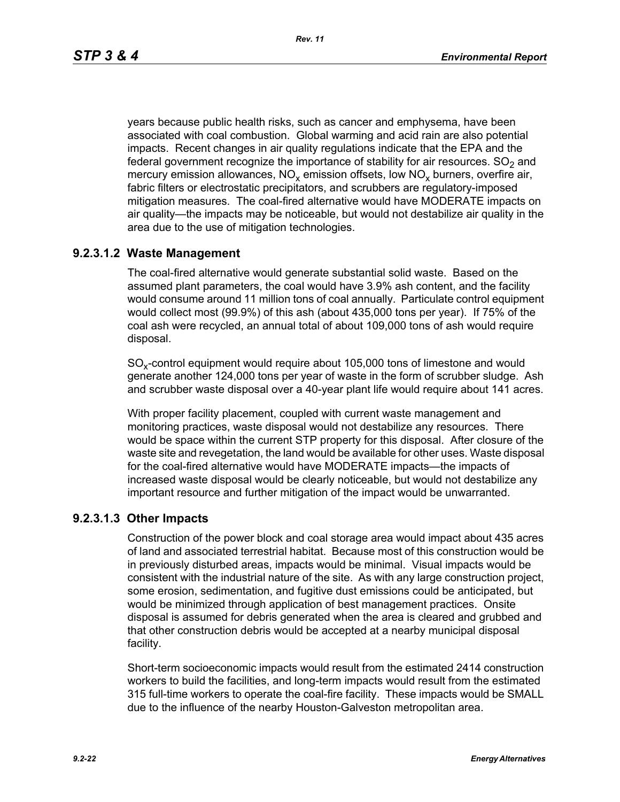*Rev. 11*

years because public health risks, such as cancer and emphysema, have been associated with coal combustion. Global warming and acid rain are also potential impacts. Recent changes in air quality regulations indicate that the EPA and the federal government recognize the importance of stability for air resources.  $SO<sub>2</sub>$  and mercury emission allowances,  $NO_x$  emission offsets, low  $NO_x$  burners, overfire air, fabric filters or electrostatic precipitators, and scrubbers are regulatory-imposed mitigation measures. The coal-fired alternative would have MODERATE impacts on air quality—the impacts may be noticeable, but would not destabilize air quality in the area due to the use of mitigation technologies.

# **9.2.3.1.2 Waste Management**

The coal-fired alternative would generate substantial solid waste. Based on the assumed plant parameters, the coal would have 3.9% ash content, and the facility would consume around 11 million tons of coal annually. Particulate control equipment would collect most (99.9%) of this ash (about 435,000 tons per year). If 75% of the coal ash were recycled, an annual total of about 109,000 tons of ash would require disposal.

SO<sub>y</sub>-control equipment would require about 105,000 tons of limestone and would generate another 124,000 tons per year of waste in the form of scrubber sludge. Ash and scrubber waste disposal over a 40-year plant life would require about 141 acres.

With proper facility placement, coupled with current waste management and monitoring practices, waste disposal would not destabilize any resources. There would be space within the current STP property for this disposal. After closure of the waste site and revegetation, the land would be available for other uses. Waste disposal for the coal-fired alternative would have MODERATE impacts—the impacts of increased waste disposal would be clearly noticeable, but would not destabilize any important resource and further mitigation of the impact would be unwarranted.

## **9.2.3.1.3 Other Impacts**

Construction of the power block and coal storage area would impact about 435 acres of land and associated terrestrial habitat. Because most of this construction would be in previously disturbed areas, impacts would be minimal. Visual impacts would be consistent with the industrial nature of the site. As with any large construction project, some erosion, sedimentation, and fugitive dust emissions could be anticipated, but would be minimized through application of best management practices. Onsite disposal is assumed for debris generated when the area is cleared and grubbed and that other construction debris would be accepted at a nearby municipal disposal facility.

Short-term socioeconomic impacts would result from the estimated 2414 construction workers to build the facilities, and long-term impacts would result from the estimated 315 full-time workers to operate the coal-fire facility. These impacts would be SMALL due to the influence of the nearby Houston-Galveston metropolitan area.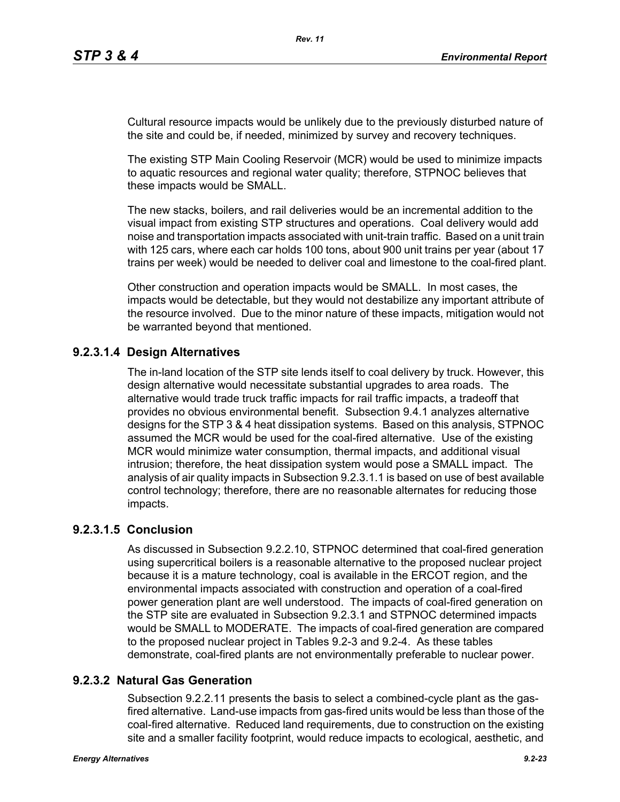Cultural resource impacts would be unlikely due to the previously disturbed nature of the site and could be, if needed, minimized by survey and recovery techniques.

The existing STP Main Cooling Reservoir (MCR) would be used to minimize impacts to aquatic resources and regional water quality; therefore, STPNOC believes that these impacts would be SMALL.

The new stacks, boilers, and rail deliveries would be an incremental addition to the visual impact from existing STP structures and operations. Coal delivery would add noise and transportation impacts associated with unit-train traffic. Based on a unit train with 125 cars, where each car holds 100 tons, about 900 unit trains per year (about 17 trains per week) would be needed to deliver coal and limestone to the coal-fired plant.

Other construction and operation impacts would be SMALL. In most cases, the impacts would be detectable, but they would not destabilize any important attribute of the resource involved. Due to the minor nature of these impacts, mitigation would not be warranted beyond that mentioned.

# **9.2.3.1.4 Design Alternatives**

The in-land location of the STP site lends itself to coal delivery by truck. However, this design alternative would necessitate substantial upgrades to area roads. The alternative would trade truck traffic impacts for rail traffic impacts, a tradeoff that provides no obvious environmental benefit. Subsection 9.4.1 analyzes alternative designs for the STP 3 & 4 heat dissipation systems. Based on this analysis, STPNOC assumed the MCR would be used for the coal-fired alternative. Use of the existing MCR would minimize water consumption, thermal impacts, and additional visual intrusion; therefore, the heat dissipation system would pose a SMALL impact. The analysis of air quality impacts in Subsection 9.2.3.1.1 is based on use of best available control technology; therefore, there are no reasonable alternates for reducing those impacts.

## **9.2.3.1.5 Conclusion**

As discussed in Subsection 9.2.2.10, STPNOC determined that coal-fired generation using supercritical boilers is a reasonable alternative to the proposed nuclear project because it is a mature technology, coal is available in the ERCOT region, and the environmental impacts associated with construction and operation of a coal-fired power generation plant are well understood. The impacts of coal-fired generation on the STP site are evaluated in Subsection 9.2.3.1 and STPNOC determined impacts would be SMALL to MODERATE. The impacts of coal-fired generation are compared to the proposed nuclear project in Tables 9.2-3 and 9.2-4. As these tables demonstrate, coal-fired plants are not environmentally preferable to nuclear power.

## **9.2.3.2 Natural Gas Generation**

Subsection 9.2.2.11 presents the basis to select a combined-cycle plant as the gasfired alternative. Land-use impacts from gas-fired units would be less than those of the coal-fired alternative. Reduced land requirements, due to construction on the existing site and a smaller facility footprint, would reduce impacts to ecological, aesthetic, and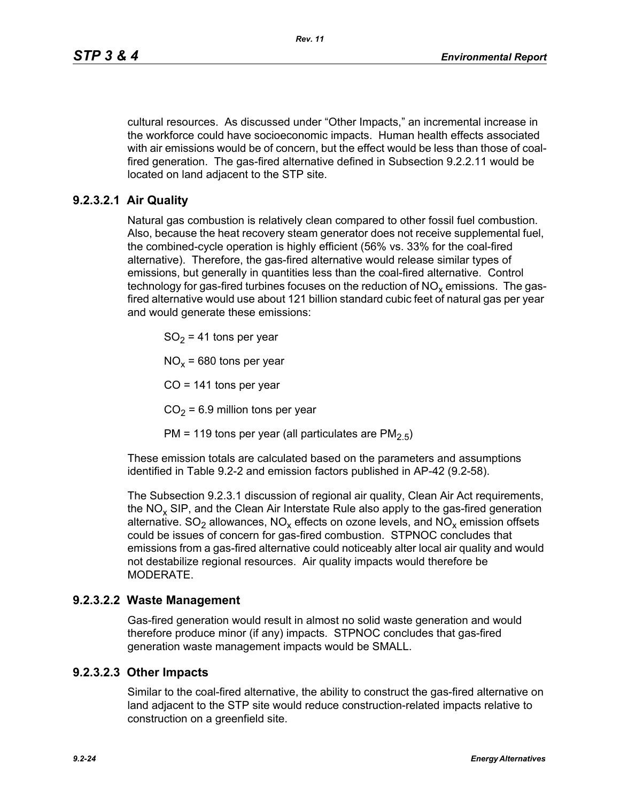cultural resources. As discussed under "Other Impacts," an incremental increase in the workforce could have socioeconomic impacts. Human health effects associated with air emissions would be of concern, but the effect would be less than those of coalfired generation. The gas-fired alternative defined in Subsection 9.2.2.11 would be located on land adjacent to the STP site.

# **9.2.3.2.1 Air Quality**

Natural gas combustion is relatively clean compared to other fossil fuel combustion. Also, because the heat recovery steam generator does not receive supplemental fuel, the combined-cycle operation is highly efficient (56% vs. 33% for the coal-fired alternative). Therefore, the gas-fired alternative would release similar types of emissions, but generally in quantities less than the coal-fired alternative. Control technology for gas-fired turbines focuses on the reduction of  $NO<sub>x</sub>$  emissions. The gasfired alternative would use about 121 billion standard cubic feet of natural gas per year and would generate these emissions:

 $SO<sub>2</sub> = 41$  tons per year

 $NO<sub>x</sub>$  = 680 tons per year

 $CO = 141$  tons per year

 $CO<sub>2</sub> = 6.9$  million tons per year

PM = 119 tons per year (all particulates are  $PM<sub>2.5</sub>$ )

These emission totals are calculated based on the parameters and assumptions identified in Table 9.2-2 and emission factors published in AP-42 (9.2-58).

The Subsection 9.2.3.1 discussion of regional air quality, Clean Air Act requirements, the  $NO<sub>x</sub>$  SIP, and the Clean Air Interstate Rule also apply to the gas-fired generation alternative.  $SO_2$  allowances,  $NO_x$  effects on ozone levels, and  $NO_x$  emission offsets could be issues of concern for gas-fired combustion. STPNOC concludes that emissions from a gas-fired alternative could noticeably alter local air quality and would not destabilize regional resources. Air quality impacts would therefore be MODERATE.

### **9.2.3.2.2 Waste Management**

Gas-fired generation would result in almost no solid waste generation and would therefore produce minor (if any) impacts. STPNOC concludes that gas-fired generation waste management impacts would be SMALL.

### **9.2.3.2.3 Other Impacts**

Similar to the coal-fired alternative, the ability to construct the gas-fired alternative on land adjacent to the STP site would reduce construction-related impacts relative to construction on a greenfield site.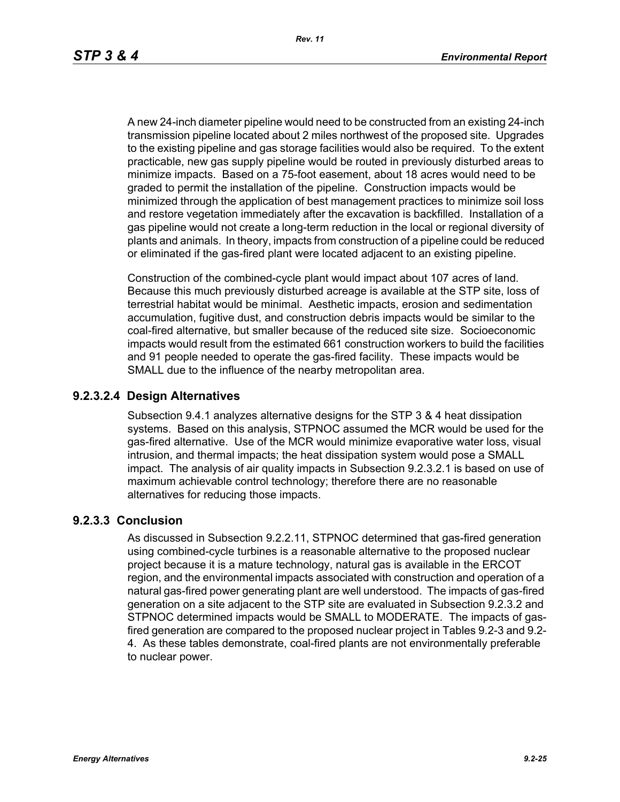A new 24-inch diameter pipeline would need to be constructed from an existing 24-inch transmission pipeline located about 2 miles northwest of the proposed site. Upgrades to the existing pipeline and gas storage facilities would also be required. To the extent practicable, new gas supply pipeline would be routed in previously disturbed areas to minimize impacts. Based on a 75-foot easement, about 18 acres would need to be graded to permit the installation of the pipeline. Construction impacts would be minimized through the application of best management practices to minimize soil loss and restore vegetation immediately after the excavation is backfilled. Installation of a gas pipeline would not create a long-term reduction in the local or regional diversity of plants and animals. In theory, impacts from construction of a pipeline could be reduced or eliminated if the gas-fired plant were located adjacent to an existing pipeline.

Construction of the combined-cycle plant would impact about 107 acres of land. Because this much previously disturbed acreage is available at the STP site, loss of terrestrial habitat would be minimal. Aesthetic impacts, erosion and sedimentation accumulation, fugitive dust, and construction debris impacts would be similar to the coal-fired alternative, but smaller because of the reduced site size. Socioeconomic impacts would result from the estimated 661 construction workers to build the facilities and 91 people needed to operate the gas-fired facility. These impacts would be SMALL due to the influence of the nearby metropolitan area.

#### **9.2.3.2.4 Design Alternatives**

Subsection 9.4.1 analyzes alternative designs for the STP 3 & 4 heat dissipation systems. Based on this analysis, STPNOC assumed the MCR would be used for the gas-fired alternative. Use of the MCR would minimize evaporative water loss, visual intrusion, and thermal impacts; the heat dissipation system would pose a SMALL impact. The analysis of air quality impacts in Subsection 9.2.3.2.1 is based on use of maximum achievable control technology; therefore there are no reasonable alternatives for reducing those impacts.

#### **9.2.3.3 Conclusion**

As discussed in Subsection 9.2.2.11, STPNOC determined that gas-fired generation using combined-cycle turbines is a reasonable alternative to the proposed nuclear project because it is a mature technology, natural gas is available in the ERCOT region, and the environmental impacts associated with construction and operation of a natural gas-fired power generating plant are well understood. The impacts of gas-fired generation on a site adjacent to the STP site are evaluated in Subsection 9.2.3.2 and STPNOC determined impacts would be SMALL to MODERATE. The impacts of gasfired generation are compared to the proposed nuclear project in Tables 9.2-3 and 9.2- 4. As these tables demonstrate, coal-fired plants are not environmentally preferable to nuclear power.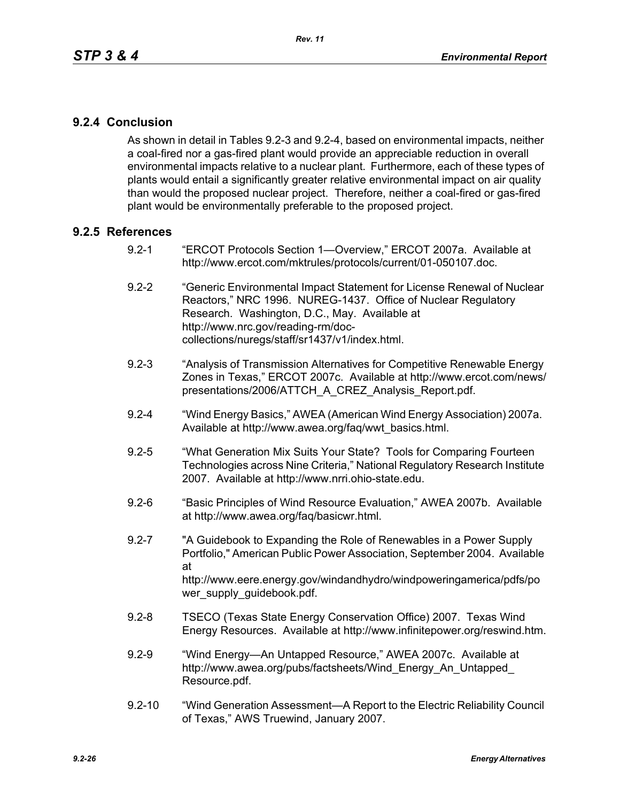## **9.2.4 Conclusion**

As shown in detail in Tables 9.2-3 and 9.2-4, based on environmental impacts, neither a coal-fired nor a gas-fired plant would provide an appreciable reduction in overall environmental impacts relative to a nuclear plant. Furthermore, each of these types of plants would entail a significantly greater relative environmental impact on air quality than would the proposed nuclear project. Therefore, neither a coal-fired or gas-fired plant would be environmentally preferable to the proposed project.

### **9.2.5 References**

- 9.2-1 "ERCOT Protocols Section 1—Overview," ERCOT 2007a. Available at http://www.ercot.com/mktrules/protocols/current/01-050107.doc.
- 9.2-2 "Generic Environmental Impact Statement for License Renewal of Nuclear Reactors," NRC 1996. NUREG-1437. Office of Nuclear Regulatory Research. Washington, D.C., May. Available at http://www.nrc.gov/reading-rm/doccollections/nuregs/staff/sr1437/v1/index.html.
- 9.2-3 "Analysis of Transmission Alternatives for Competitive Renewable Energy Zones in Texas," ERCOT 2007c. Available at http://www.ercot.com/news/ presentations/2006/ATTCH\_A\_CREZ\_Analysis\_Report.pdf.
- 9.2-4 "Wind Energy Basics," AWEA (American Wind Energy Association) 2007a. Available at http://www.awea.org/faq/wwt\_basics.html.
- 9.2-5 "What Generation Mix Suits Your State? Tools for Comparing Fourteen Technologies across Nine Criteria," National Regulatory Research Institute 2007. Available at http://www.nrri.ohio-state.edu.
- 9.2-6 "Basic Principles of Wind Resource Evaluation," AWEA 2007b. Available at http://www.awea.org/faq/basicwr.html.
- 9.2-7 "A Guidebook to Expanding the Role of Renewables in a Power Supply Portfolio," American Public Power Association, September 2004. Available at http://www.eere.energy.gov/windandhydro/windpoweringamerica/pdfs/po wer\_supply\_guidebook.pdf.
- 9.2-8 TSECO (Texas State Energy Conservation Office) 2007. Texas Wind Energy Resources. Available at http://www.infinitepower.org/reswind.htm.
- 9.2-9 "Wind Energy—An Untapped Resource," AWEA 2007c. Available at http://www.awea.org/pubs/factsheets/Wind\_Energy\_An\_Untapped\_ Resource.pdf.
- 9.2-10 "Wind Generation Assessment—A Report to the Electric Reliability Council of Texas," AWS Truewind, January 2007.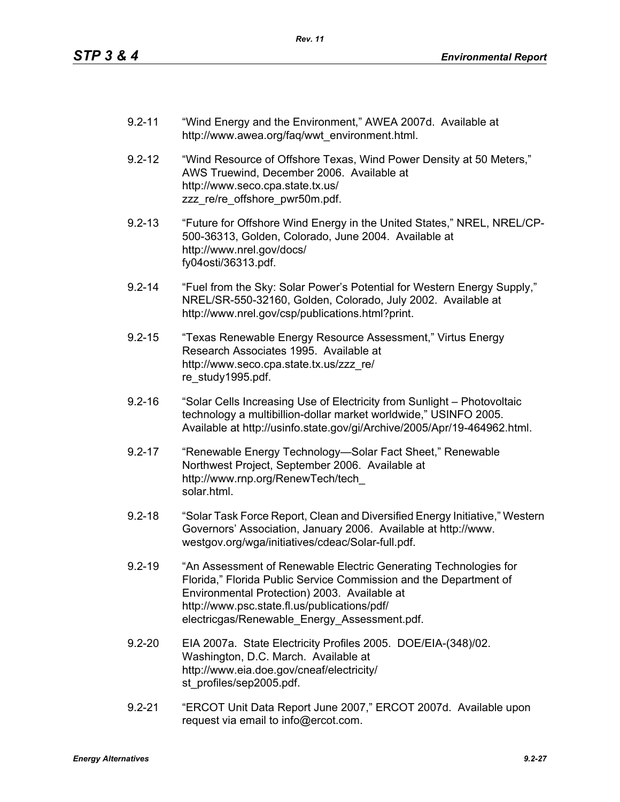- 9.2-11 "Wind Energy and the Environment," AWEA 2007d. Available at http://www.awea.org/faq/wwt\_environment.html.
- 9.2-12 "Wind Resource of Offshore Texas, Wind Power Density at 50 Meters," AWS Truewind, December 2006. Available at http://www.seco.cpa.state.tx.us/ zzz\_re/re\_offshore\_pwr50m.pdf.
- 9.2-13 "Future for Offshore Wind Energy in the United States," NREL, NREL/CP-500-36313, Golden, Colorado, June 2004. Available at http://www.nrel.gov/docs/ fy04osti/36313.pdf.
- 9.2-14 "Fuel from the Sky: Solar Power's Potential for Western Energy Supply," NREL/SR-550-32160, Golden, Colorado, July 2002. Available at http://www.nrel.gov/csp/publications.html?print.
- 9.2-15 "Texas Renewable Energy Resource Assessment," Virtus Energy Research Associates 1995. Available at http://www.seco.cpa.state.tx.us/zzz\_re/ re\_study1995.pdf.
- 9.2-16 "Solar Cells Increasing Use of Electricity from Sunlight Photovoltaic technology a multibillion-dollar market worldwide," USINFO 2005. Available at http://usinfo.state.gov/gi/Archive/2005/Apr/19-464962.html.
- 9.2-17 "Renewable Energy Technology—Solar Fact Sheet," Renewable Northwest Project, September 2006. Available at http://www.rnp.org/RenewTech/tech\_ solar.html.
- 9.2-18 "Solar Task Force Report, Clean and Diversified Energy Initiative," Western Governors' Association, January 2006. Available at http://www. westgov.org/wga/initiatives/cdeac/Solar-full.pdf.
- 9.2-19 "An Assessment of Renewable Electric Generating Technologies for Florida," Florida Public Service Commission and the Department of Environmental Protection) 2003. Available at http://www.psc.state.fl.us/publications/pdf/ electricgas/Renewable\_Energy\_Assessment.pdf.
- 9.2-20 EIA 2007a. State Electricity Profiles 2005. DOE/EIA-(348)/02. Washington, D.C. March. Available at http://www.eia.doe.gov/cneaf/electricity/ st\_profiles/sep2005.pdf.
- 9.2-21 "ERCOT Unit Data Report June 2007," ERCOT 2007d. Available upon request via email to info@ercot.com.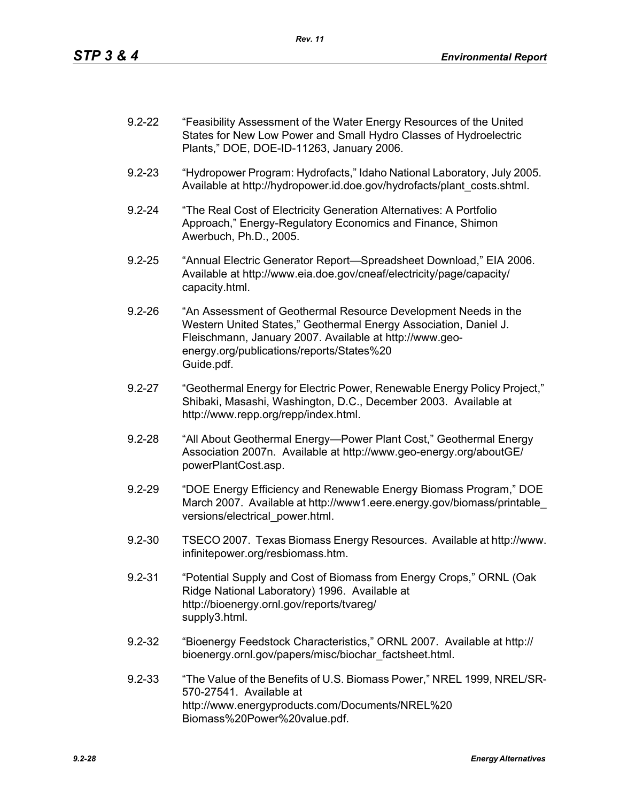- 9.2-22 "Feasibility Assessment of the Water Energy Resources of the United States for New Low Power and Small Hydro Classes of Hydroelectric Plants," DOE, DOE-ID-11263, January 2006.
- 9.2-23 "Hydropower Program: Hydrofacts," Idaho National Laboratory, July 2005. Available at http://hydropower.id.doe.gov/hydrofacts/plant\_costs.shtml.
- 9.2-24 "The Real Cost of Electricity Generation Alternatives: A Portfolio Approach," Energy-Regulatory Economics and Finance, Shimon Awerbuch, Ph.D., 2005.
- 9.2-25 "Annual Electric Generator Report—Spreadsheet Download," EIA 2006. Available at http://www.eia.doe.gov/cneaf/electricity/page/capacity/ capacity.html.
- 9.2-26 "An Assessment of Geothermal Resource Development Needs in the Western United States," Geothermal Energy Association, Daniel J. Fleischmann, January 2007. Available at http://www.geoenergy.org/publications/reports/States%20 Guide.pdf.
- 9.2-27 "Geothermal Energy for Electric Power, Renewable Energy Policy Project," Shibaki, Masashi, Washington, D.C., December 2003. Available at http://www.repp.org/repp/index.html.
- 9.2-28 "All About Geothermal Energy—Power Plant Cost," Geothermal Energy Association 2007n. Available at http://www.geo-energy.org/aboutGE/ powerPlantCost.asp.
- 9.2-29 "DOE Energy Efficiency and Renewable Energy Biomass Program," DOE March 2007. Available at http://www1.eere.energy.gov/biomass/printable\_ versions/electrical\_power.html.
- 9.2-30 TSECO 2007. Texas Biomass Energy Resources. Available at http://www. infinitepower.org/resbiomass.htm.
- 9.2-31 "Potential Supply and Cost of Biomass from Energy Crops," ORNL (Oak Ridge National Laboratory) 1996. Available at http://bioenergy.ornl.gov/reports/tvareg/ supply3.html.
- 9.2-32 "Bioenergy Feedstock Characteristics," ORNL 2007. Available at http:// bioenergy.ornl.gov/papers/misc/biochar\_factsheet.html.
- 9.2-33 "The Value of the Benefits of U.S. Biomass Power," NREL 1999, NREL/SR-570-27541. Available at http://www.energyproducts.com/Documents/NREL%20 Biomass%20Power%20value.pdf.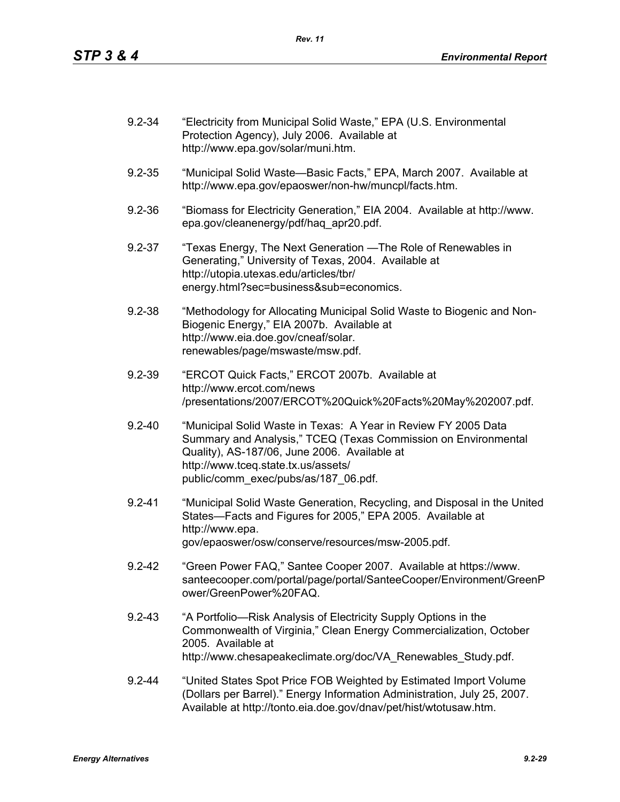| $9.2 - 34$ | "Electricity from Municipal Solid Waste," EPA (U.S. Environmental<br>Protection Agency), July 2006. Available at<br>http://www.epa.gov/solar/muni.htm.                                                                                                          |
|------------|-----------------------------------------------------------------------------------------------------------------------------------------------------------------------------------------------------------------------------------------------------------------|
| $9.2 - 35$ | "Municipal Solid Waste-Basic Facts," EPA, March 2007. Available at<br>http://www.epa.gov/epaoswer/non-hw/muncpl/facts.htm.                                                                                                                                      |
| $9.2 - 36$ | "Biomass for Electricity Generation," EIA 2004. Available at http://www.<br>epa.gov/cleanenergy/pdf/haq_apr20.pdf.                                                                                                                                              |
| $9.2 - 37$ | "Texas Energy, The Next Generation — The Role of Renewables in<br>Generating," University of Texas, 2004. Available at<br>http://utopia.utexas.edu/articles/tbr/<br>energy.html?sec=business⊂=economics.                                                        |
| $9.2 - 38$ | "Methodology for Allocating Municipal Solid Waste to Biogenic and Non-<br>Biogenic Energy," EIA 2007b. Available at<br>http://www.eia.doe.gov/cneaf/solar.<br>renewables/page/mswaste/msw.pdf.                                                                  |
| $9.2 - 39$ | "ERCOT Quick Facts," ERCOT 2007b. Available at<br>http://www.ercot.com/news<br>/presentations/2007/ERCOT%20Quick%20Facts%20May%202007.pdf.                                                                                                                      |
| $9.2 - 40$ | "Municipal Solid Waste in Texas: A Year in Review FY 2005 Data<br>Summary and Analysis," TCEQ (Texas Commission on Environmental<br>Quality), AS-187/06, June 2006. Available at<br>http://www.tceq.state.tx.us/assets/<br>public/comm_exec/pubs/as/187_06.pdf. |
| $9.2 - 41$ | "Municipal Solid Waste Generation, Recycling, and Disposal in the United<br>States-Facts and Figures for 2005," EPA 2005. Available at<br>http://www.epa.<br>gov/epaoswer/osw/conserve/resources/msw-2005.pdf.                                                  |
| $9.2 - 42$ | "Green Power FAQ," Santee Cooper 2007. Available at https://www.<br>santeecooper.com/portal/page/portal/SanteeCooper/Environment/GreenP<br>ower/GreenPower%20FAQ.                                                                                               |
| $9.2 - 43$ | "A Portfolio-Risk Analysis of Electricity Supply Options in the<br>Commonwealth of Virginia," Clean Energy Commercialization, October<br>2005. Available at<br>http://www.chesapeakeclimate.org/doc/VA_Renewables_Study.pdf.                                    |
| $9.2 - 44$ | "United States Spot Price FOB Weighted by Estimated Import Volume<br>(Dollars per Barrel)." Energy Information Administration, July 25, 2007.<br>Available at http://tonto.eia.doe.gov/dnav/pet/hist/wtotusaw.htm.                                              |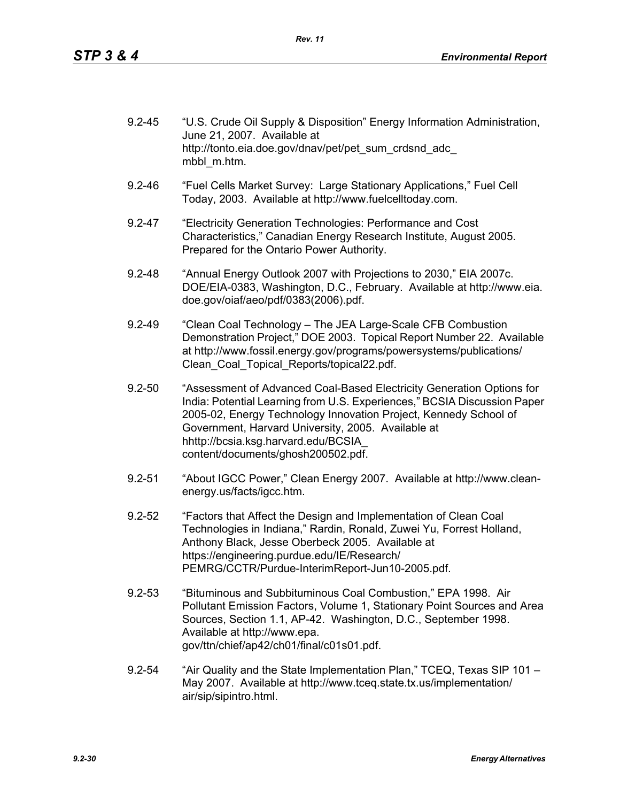| $9.2 - 45$ | "U.S. Crude Oil Supply & Disposition" Energy Information Administration,<br>June 21, 2007. Available at |
|------------|---------------------------------------------------------------------------------------------------------|
|            | http://tonto.eia.doe.gov/dnav/pet/pet sum crdsnd adc<br>mbbl m.htm.                                     |

- 9.2-46 "Fuel Cells Market Survey: Large Stationary Applications," Fuel Cell Today, 2003. Available at http://www.fuelcelltoday.com.
- 9.2-47 "Electricity Generation Technologies: Performance and Cost Characteristics," Canadian Energy Research Institute, August 2005. Prepared for the Ontario Power Authority.
- 9.2-48 "Annual Energy Outlook 2007 with Projections to 2030," EIA 2007c. DOE/EIA-0383, Washington, D.C., February. Available at http://www.eia. doe.gov/oiaf/aeo/pdf/0383(2006).pdf.
- 9.2-49 "Clean Coal Technology The JEA Large-Scale CFB Combustion Demonstration Project," DOE 2003. Topical Report Number 22. Available at http://www.fossil.energy.gov/programs/powersystems/publications/ Clean\_Coal\_Topical\_Reports/topical22.pdf.
- 9.2-50 "Assessment of Advanced Coal-Based Electricity Generation Options for India: Potential Learning from U.S. Experiences," BCSIA Discussion Paper 2005-02, Energy Technology Innovation Project, Kennedy School of Government, Harvard University, 2005. Available at hhttp://bcsia.ksg.harvard.edu/BCSIA\_ content/documents/ghosh200502.pdf.
- 9.2-51 "About IGCC Power," Clean Energy 2007. Available at http://www.cleanenergy.us/facts/igcc.htm.
- 9.2-52 "Factors that Affect the Design and Implementation of Clean Coal Technologies in Indiana," Rardin, Ronald, Zuwei Yu, Forrest Holland, Anthony Black, Jesse Oberbeck 2005. Available at https://engineering.purdue.edu/IE/Research/ PEMRG/CCTR/Purdue-InterimReport-Jun10-2005.pdf.
- 9.2-53 "Bituminous and Subbituminous Coal Combustion," EPA 1998. Air Pollutant Emission Factors, Volume 1, Stationary Point Sources and Area Sources, Section 1.1, AP-42. Washington, D.C., September 1998. Available at http://www.epa. gov/ttn/chief/ap42/ch01/final/c01s01.pdf.
- 9.2-54 "Air Quality and the State Implementation Plan," TCEQ, Texas SIP 101 May 2007. Available at http://www.tceq.state.tx.us/implementation/ air/sip/sipintro.html.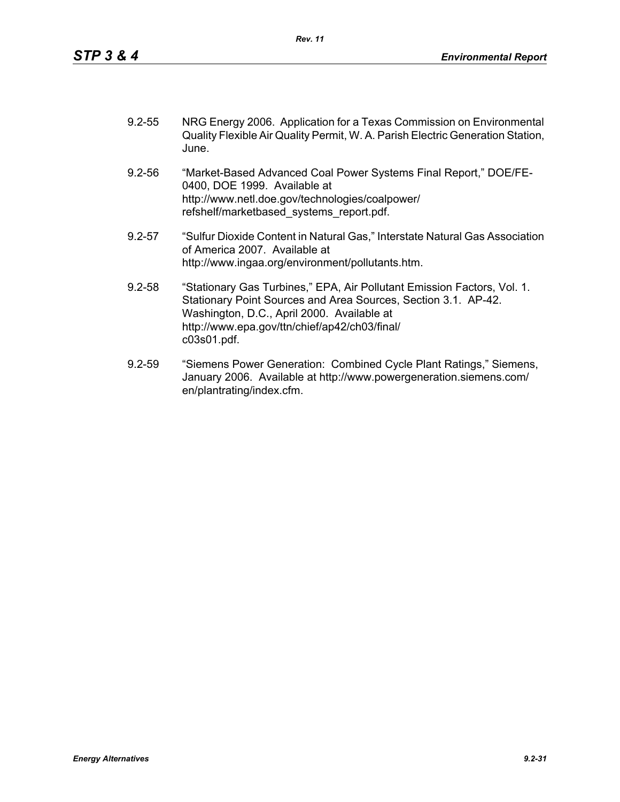| $9.2 - 55$ | NRG Energy 2006. Application for a Texas Commission on Environmental           |
|------------|--------------------------------------------------------------------------------|
|            | Quality Flexible Air Quality Permit, W. A. Parish Electric Generation Station, |
|            | June.                                                                          |

- 9.2-56 "Market-Based Advanced Coal Power Systems Final Report," DOE/FE-0400, DOE 1999. Available at http://www.netl.doe.gov/technologies/coalpower/ refshelf/marketbased\_systems\_report.pdf.
- 9.2-57 "Sulfur Dioxide Content in Natural Gas," Interstate Natural Gas Association of America 2007. Available at http://www.ingaa.org/environment/pollutants.htm.
- 9.2-58 "Stationary Gas Turbines," EPA, Air Pollutant Emission Factors, Vol. 1. Stationary Point Sources and Area Sources, Section 3.1. AP-42. Washington, D.C., April 2000. Available at http://www.epa.gov/ttn/chief/ap42/ch03/final/ c03s01.pdf.
- 9.2-59 "Siemens Power Generation: Combined Cycle Plant Ratings," Siemens, January 2006. Available at http://www.powergeneration.siemens.com/ en/plantrating/index.cfm.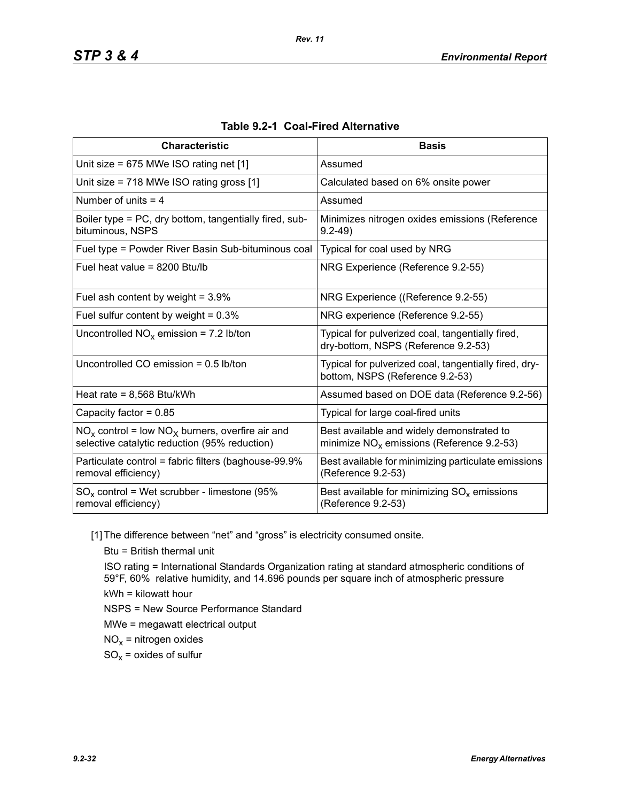| <b>Characteristic</b>                                                                                  | <b>Basis</b>                                                                             |
|--------------------------------------------------------------------------------------------------------|------------------------------------------------------------------------------------------|
| Unit size = $675$ MWe ISO rating net [1]                                                               | Assumed                                                                                  |
| Unit size = 718 MWe ISO rating gross [1]                                                               | Calculated based on 6% onsite power                                                      |
| Number of units $=$ 4                                                                                  | Assumed                                                                                  |
| Boiler type = PC, dry bottom, tangentially fired, sub-<br>bituminous, NSPS                             | Minimizes nitrogen oxides emissions (Reference<br>$9.2 - 49$                             |
| Fuel type = Powder River Basin Sub-bituminous coal                                                     | Typical for coal used by NRG                                                             |
| Fuel heat value = 8200 Btu/lb                                                                          | NRG Experience (Reference 9.2-55)                                                        |
| Fuel ash content by weight = $3.9\%$                                                                   | NRG Experience ((Reference 9.2-55)                                                       |
| Fuel sulfur content by weight = $0.3\%$                                                                | NRG experience (Reference 9.2-55)                                                        |
| Uncontrolled $NO_x$ emission = 7.2 lb/ton                                                              | Typical for pulverized coal, tangentially fired,<br>dry-bottom, NSPS (Reference 9.2-53)  |
| Uncontrolled CO emission = $0.5$ lb/ton                                                                | Typical for pulverized coal, tangentially fired, dry-<br>bottom, NSPS (Reference 9.2-53) |
| Heat rate = $8,568$ Btu/kWh                                                                            | Assumed based on DOE data (Reference 9.2-56)                                             |
| Capacity factor = $0.85$                                                                               | Typical for large coal-fired units                                                       |
| $NO_x$ control = low $NO_x$ burners, overfire air and<br>selective catalytic reduction (95% reduction) | Best available and widely demonstrated to<br>minimize $NOx$ emissions (Reference 9.2-53) |
| Particulate control = fabric filters (baghouse-99.9%<br>removal efficiency)                            | Best available for minimizing particulate emissions<br>(Reference 9.2-53)                |
| $SO_x$ control = Wet scrubber - limestone (95%<br>removal efficiency)                                  | Best available for minimizing $SO_{x}$ emissions<br>(Reference 9.2-53)                   |

|  |  | Table 9.2-1 Coal-Fired Alternative |
|--|--|------------------------------------|
|--|--|------------------------------------|

*Rev. 11*

[1] The difference between "net" and "gross" is electricity consumed onsite.

Btu = British thermal unit

ISO rating = International Standards Organization rating at standard atmospheric conditions of 59°F, 60% relative humidity, and 14.696 pounds per square inch of atmospheric pressure kWh = kilowatt hour

NSPS = New Source Performance Standard

MWe = megawatt electrical output

 $NO<sub>x</sub>$  = nitrogen oxides

 $SO_x =$  oxides of sulfur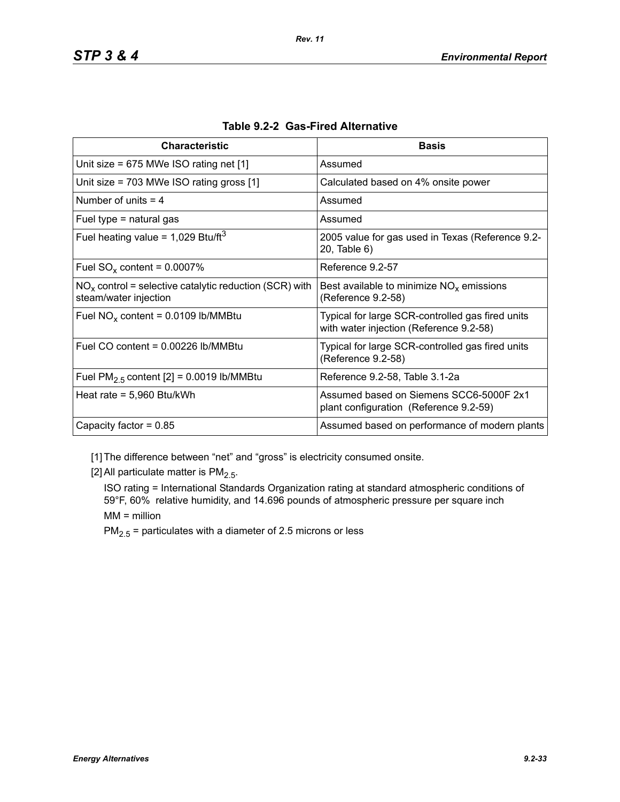| <b>Characteristic</b>                                                             | <b>Basis</b>                                                                                |
|-----------------------------------------------------------------------------------|---------------------------------------------------------------------------------------------|
| Unit size = $675$ MWe ISO rating net [1]                                          | Assumed                                                                                     |
| Unit size = $703$ MWe ISO rating gross [1]                                        | Calculated based on 4% onsite power                                                         |
| Number of units $=$ 4                                                             | Assumed                                                                                     |
| Fuel type $=$ natural gas                                                         | Assumed                                                                                     |
| Fuel heating value = $1,029$ Btu/ft <sup>3</sup>                                  | 2005 value for gas used in Texas (Reference 9.2-<br>20, Table 6)                            |
| Fuel $SO_x$ content = 0.0007%                                                     | Reference 9.2-57                                                                            |
| $NOx$ control = selective catalytic reduction (SCR) with<br>steam/water injection | Best available to minimize $NOx$ emissions<br>(Reference 9.2-58)                            |
| Fuel $NO_x$ content = 0.0109 lb/MMBtu                                             | Typical for large SCR-controlled gas fired units<br>with water injection (Reference 9.2-58) |
| Fuel CO content = $0.00226$ lb/MMBtu                                              | Typical for large SCR-controlled gas fired units<br>(Reference 9.2-58)                      |
| Fuel $PM2.5$ content [2] = 0.0019 lb/MMBtu                                        | Reference 9.2-58, Table 3.1-2a                                                              |
| Heat rate = $5,960$ Btu/kWh                                                       | Assumed based on Siemens SCC6-5000F 2x1<br>plant configuration (Reference 9.2-59)           |
| Capacity factor = $0.85$                                                          | Assumed based on performance of modern plants                                               |

[1] The difference between "net" and "gross" is electricity consumed onsite.

[2] All particulate matter is  $PM<sub>2.5</sub>$ .

ISO rating = International Standards Organization rating at standard atmospheric conditions of 59°F, 60% relative humidity, and 14.696 pounds of atmospheric pressure per square inch MM = million

 $PM_{2.5}$  = particulates with a diameter of 2.5 microns or less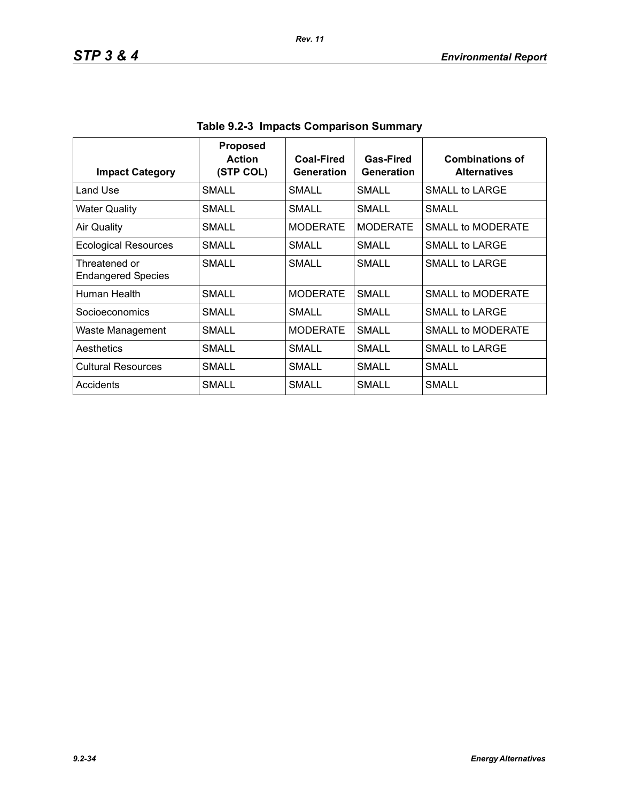| <b>Impact Category</b>                     | <b>Proposed</b><br><b>Action</b><br>(STP COL) | <b>Coal-Fired</b><br>Generation | Gas-Fired<br>Generation | <b>Combinations of</b><br><b>Alternatives</b> |
|--------------------------------------------|-----------------------------------------------|---------------------------------|-------------------------|-----------------------------------------------|
| Land Use                                   | SMALL                                         | SMALL                           | <b>SMALL</b>            | SMALL to LARGE                                |
| <b>Water Quality</b>                       | SMALL                                         | <b>SMALL</b>                    | SMALL                   | <b>SMALL</b>                                  |
| Air Quality                                | <b>SMALL</b>                                  | <b>MODERATE</b>                 | <b>MODERATE</b>         | SMALL to MODERATE                             |
| <b>Ecological Resources</b>                | SMALL                                         | SMALL                           | SMALL                   | SMALL to LARGE                                |
| Threatened or<br><b>Endangered Species</b> | SMALL                                         | SMALL                           | SMALL                   | SMALL to LARGE                                |
| Human Health                               | SMALL                                         | <b>MODERATE</b>                 | <b>SMALL</b>            | <b>SMALL to MODERATE</b>                      |
| Socioeconomics                             | SMALL                                         | SMALL                           | SMALL                   | SMALL to LARGE                                |
| Waste Management                           | SMALL                                         | <b>MODERATE</b>                 | SMALL                   | SMALL to MODERATE                             |
| Aesthetics                                 | <b>SMALL</b>                                  | SMALL                           | <b>SMALL</b>            | SMALL to LARGE                                |
| <b>Cultural Resources</b>                  | SMALL                                         | SMALL                           | <b>SMALL</b>            | SMALL                                         |
| Accidents                                  | SMALL                                         | SMALL                           | SMALL                   | SMALL                                         |

| Table 9.2-3 Impacts Comparison Summary |
|----------------------------------------|
|----------------------------------------|

*Rev. 11*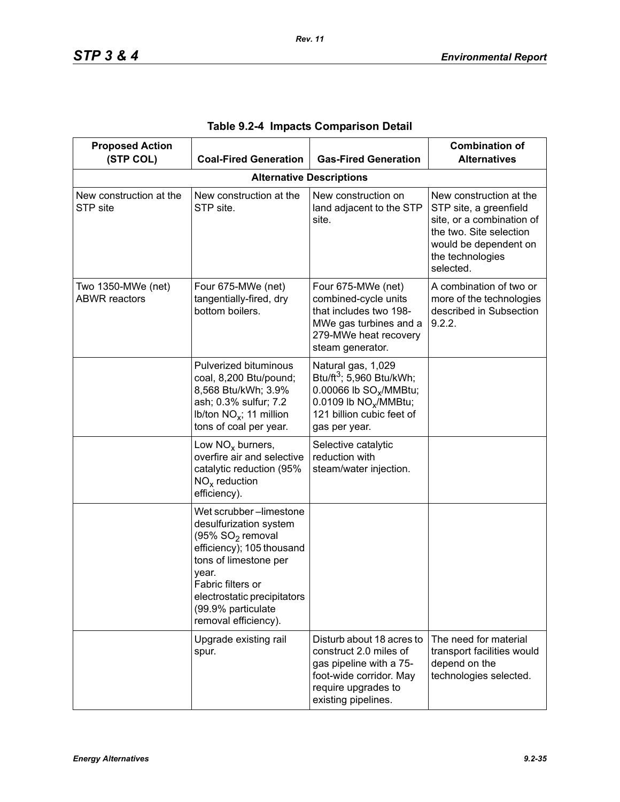| <b>Proposed Action</b><br>(STP COL)        | <b>Coal-Fired Generation</b>                                                                                                                                                                                                                      | <b>Gas-Fired Generation</b>                                                                                                                                                         | <b>Combination of</b><br><b>Alternatives</b>                                                                                                                        |
|--------------------------------------------|---------------------------------------------------------------------------------------------------------------------------------------------------------------------------------------------------------------------------------------------------|-------------------------------------------------------------------------------------------------------------------------------------------------------------------------------------|---------------------------------------------------------------------------------------------------------------------------------------------------------------------|
|                                            |                                                                                                                                                                                                                                                   | <b>Alternative Descriptions</b>                                                                                                                                                     |                                                                                                                                                                     |
| New construction at the<br>STP site        | New construction at the<br>STP site.                                                                                                                                                                                                              | New construction on<br>land adjacent to the STP<br>site.                                                                                                                            | New construction at the<br>STP site, a greenfield<br>site, or a combination of<br>the two. Site selection<br>would be dependent on<br>the technologies<br>selected. |
| Two 1350-MWe (net)<br><b>ABWR</b> reactors | Four 675-MWe (net)<br>tangentially-fired, dry<br>bottom boilers.                                                                                                                                                                                  | Four 675-MWe (net)<br>combined-cycle units<br>that includes two 198-<br>MWe gas turbines and a<br>279-MWe heat recovery<br>steam generator.                                         | A combination of two or<br>more of the technologies<br>described in Subsection<br>9.2.2.                                                                            |
|                                            | Pulverized bituminous<br>coal, 8,200 Btu/pound;<br>8,568 Btu/kWh; 3.9%<br>ash; 0.3% sulfur; 7.2<br>lb/ton $NO_x$ ; 11 million<br>tons of coal per year.                                                                                           | Natural gas, 1,029<br>Btu/ft <sup>3</sup> ; 5,960 Btu/kWh;<br>0.00066 lb SO <sub>x</sub> /MMBtu;<br>0.0109 lb NO <sub>x</sub> /MMBtu;<br>121 billion cubic feet of<br>gas per year. |                                                                                                                                                                     |
|                                            | Low $NOx$ burners,<br>overfire air and selective<br>catalytic reduction (95%<br>$NOx$ reduction<br>efficiency).                                                                                                                                   | Selective catalytic<br>reduction with<br>steam/water injection.                                                                                                                     |                                                                                                                                                                     |
|                                            | Wet scrubber-limestone<br>desulfurization system<br>(95% SO <sub>2</sub> removal<br>efficiency); 105 thousand<br>tons of limestone per<br>year.<br>Fabric filters or<br>electrostatic precipitators<br>(99.9% particulate<br>removal efficiency). |                                                                                                                                                                                     |                                                                                                                                                                     |
|                                            | Upgrade existing rail<br>spur.                                                                                                                                                                                                                    | Disturb about 18 acres to<br>construct 2.0 miles of<br>gas pipeline with a 75-<br>foot-wide corridor. May<br>require upgrades to<br>existing pipelines.                             | The need for material<br>transport facilities would<br>depend on the<br>technologies selected.                                                                      |

|  |  |  | Table 9.2-4 Impacts Comparison Detail |  |
|--|--|--|---------------------------------------|--|
|--|--|--|---------------------------------------|--|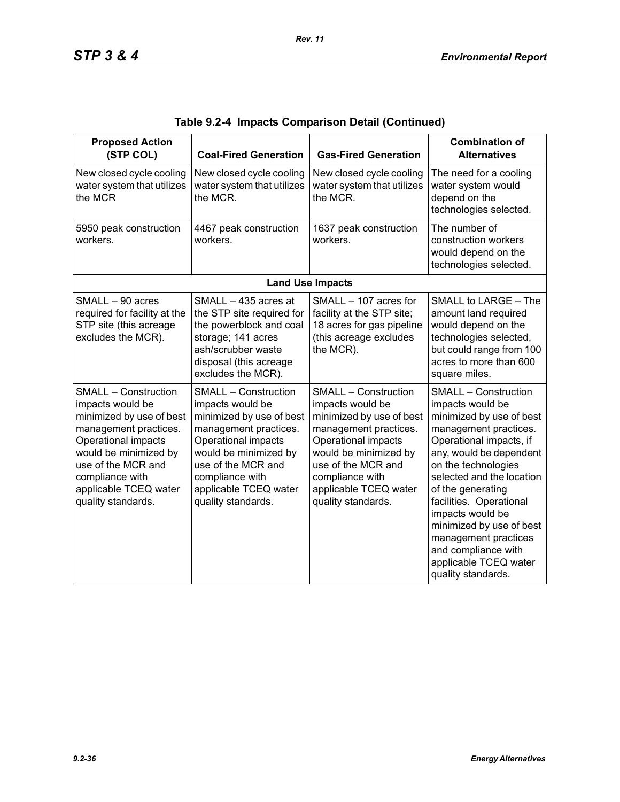| <b>Proposed Action</b><br>(STP COL)                                                                                                                                                                                                          | <b>Coal-Fired Generation</b>                                                                                                                                                                                                                 | <b>Gas-Fired Generation</b>                                                                                                                                                                                                                  | <b>Combination of</b><br><b>Alternatives</b>                                                                                                                                                                                                                                                                                                                                                                 |
|----------------------------------------------------------------------------------------------------------------------------------------------------------------------------------------------------------------------------------------------|----------------------------------------------------------------------------------------------------------------------------------------------------------------------------------------------------------------------------------------------|----------------------------------------------------------------------------------------------------------------------------------------------------------------------------------------------------------------------------------------------|--------------------------------------------------------------------------------------------------------------------------------------------------------------------------------------------------------------------------------------------------------------------------------------------------------------------------------------------------------------------------------------------------------------|
| New closed cycle cooling<br>water system that utilizes<br>the MCR                                                                                                                                                                            | New closed cycle cooling<br>water system that utilizes<br>the MCR.                                                                                                                                                                           | New closed cycle cooling<br>water system that utilizes<br>the MCR.                                                                                                                                                                           | The need for a cooling<br>water system would<br>depend on the<br>technologies selected.                                                                                                                                                                                                                                                                                                                      |
| 5950 peak construction<br>workers.                                                                                                                                                                                                           | 4467 peak construction<br>workers.                                                                                                                                                                                                           | 1637 peak construction<br>workers.                                                                                                                                                                                                           | The number of<br>construction workers<br>would depend on the<br>technologies selected.                                                                                                                                                                                                                                                                                                                       |
|                                                                                                                                                                                                                                              |                                                                                                                                                                                                                                              | <b>Land Use Impacts</b>                                                                                                                                                                                                                      |                                                                                                                                                                                                                                                                                                                                                                                                              |
| SMALL - 90 acres<br>required for facility at the<br>STP site (this acreage<br>excludes the MCR).                                                                                                                                             | SMALL - 435 acres at<br>the STP site required for<br>the powerblock and coal<br>storage; 141 acres<br>ash/scrubber waste<br>disposal (this acreage<br>excludes the MCR).                                                                     | SMALL - 107 acres for<br>facility at the STP site;<br>18 acres for gas pipeline<br>(this acreage excludes<br>the MCR).                                                                                                                       | SMALL to LARGE - The<br>amount land required<br>would depend on the<br>technologies selected,<br>but could range from 100<br>acres to more than 600<br>square miles.                                                                                                                                                                                                                                         |
| <b>SMALL - Construction</b><br>impacts would be<br>minimized by use of best<br>management practices.<br>Operational impacts<br>would be minimized by<br>use of the MCR and<br>compliance with<br>applicable TCEQ water<br>quality standards. | <b>SMALL - Construction</b><br>impacts would be<br>minimized by use of best<br>management practices.<br>Operational impacts<br>would be minimized by<br>use of the MCR and<br>compliance with<br>applicable TCEQ water<br>quality standards. | <b>SMALL - Construction</b><br>impacts would be<br>minimized by use of best<br>management practices.<br>Operational impacts<br>would be minimized by<br>use of the MCR and<br>compliance with<br>applicable TCEQ water<br>quality standards. | <b>SMALL - Construction</b><br>impacts would be<br>minimized by use of best<br>management practices.<br>Operational impacts, if<br>any, would be dependent<br>on the technologies<br>selected and the location<br>of the generating<br>facilities. Operational<br>impacts would be<br>minimized by use of best<br>management practices<br>and compliance with<br>applicable TCEQ water<br>quality standards. |

|  |  | Table 9.2-4  Impacts Comparison Detail (Continued) |  |  |
|--|--|----------------------------------------------------|--|--|
|--|--|----------------------------------------------------|--|--|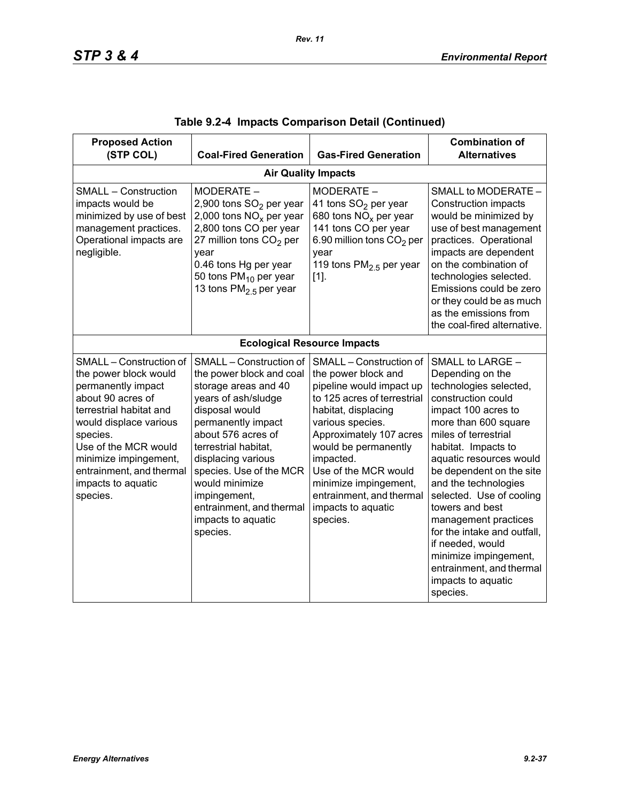| <b>Proposed Action</b><br>(STP COL)                                                                                                                                                                                                                                         | <b>Coal-Fired Generation</b>                                                                                                                                                                                                                                                                                                              | <b>Gas-Fired Generation</b>                                                                                                                                                                                                                                                                                                         | <b>Combination of</b><br><b>Alternatives</b>                                                                                                                                                                                                                                                                                                                                                                                                                                       |  |  |  |
|-----------------------------------------------------------------------------------------------------------------------------------------------------------------------------------------------------------------------------------------------------------------------------|-------------------------------------------------------------------------------------------------------------------------------------------------------------------------------------------------------------------------------------------------------------------------------------------------------------------------------------------|-------------------------------------------------------------------------------------------------------------------------------------------------------------------------------------------------------------------------------------------------------------------------------------------------------------------------------------|------------------------------------------------------------------------------------------------------------------------------------------------------------------------------------------------------------------------------------------------------------------------------------------------------------------------------------------------------------------------------------------------------------------------------------------------------------------------------------|--|--|--|
|                                                                                                                                                                                                                                                                             | <b>Air Quality Impacts</b>                                                                                                                                                                                                                                                                                                                |                                                                                                                                                                                                                                                                                                                                     |                                                                                                                                                                                                                                                                                                                                                                                                                                                                                    |  |  |  |
| <b>SMALL - Construction</b><br>impacts would be<br>minimized by use of best<br>management practices.<br>Operational impacts are<br>negligible.                                                                                                                              | MODERATE -<br>2,900 tons SO <sub>2</sub> per year<br>2,000 tons $NOx$ per year<br>2,800 tons CO per year<br>27 million tons $CO2$ per<br>year<br>0.46 tons Hg per year<br>50 tons PM <sub>10</sub> per year<br>13 tons $PM2.5$ per year                                                                                                   | MODERATE -<br>41 tons SO <sub>2</sub> per year<br>680 tons $NOx$ per year<br>141 tons CO per year<br>6.90 million tons CO <sub>2</sub> per<br>year<br>119 tons $PM2.5$ per year<br>$[1]$ .                                                                                                                                          | SMALL to MODERATE -<br><b>Construction impacts</b><br>would be minimized by<br>use of best management<br>practices. Operational<br>impacts are dependent<br>on the combination of<br>technologies selected.<br>Emissions could be zero<br>or they could be as much<br>as the emissions from<br>the coal-fired alternative.                                                                                                                                                         |  |  |  |
|                                                                                                                                                                                                                                                                             |                                                                                                                                                                                                                                                                                                                                           | <b>Ecological Resource Impacts</b>                                                                                                                                                                                                                                                                                                  |                                                                                                                                                                                                                                                                                                                                                                                                                                                                                    |  |  |  |
| SMALL - Construction of<br>the power block would<br>permanently impact<br>about 90 acres of<br>terrestrial habitat and<br>would displace various<br>species.<br>Use of the MCR would<br>minimize impingement,<br>entrainment, and thermal<br>impacts to aquatic<br>species. | SMALL - Construction of<br>the power block and coal<br>storage areas and 40<br>years of ash/sludge<br>disposal would<br>permanently impact<br>about 576 acres of<br>terrestrial habitat.<br>displacing various<br>species. Use of the MCR<br>would minimize<br>impingement,<br>entrainment, and thermal<br>impacts to aquatic<br>species. | SMALL - Construction of<br>the power block and<br>pipeline would impact up<br>to 125 acres of terrestrial<br>habitat, displacing<br>various species.<br>Approximately 107 acres<br>would be permanently<br>impacted.<br>Use of the MCR would<br>minimize impingement,<br>entrainment, and thermal<br>impacts to aquatic<br>species. | SMALL to LARGE -<br>Depending on the<br>technologies selected,<br>construction could<br>impact 100 acres to<br>more than 600 square<br>miles of terrestrial<br>habitat. Impacts to<br>aquatic resources would<br>be dependent on the site<br>and the technologies<br>selected. Use of cooling<br>towers and best<br>management practices<br>for the intake and outfall.<br>if needed, would<br>minimize impingement,<br>entrainment, and thermal<br>impacts to aquatic<br>species. |  |  |  |

|  |  | Table 9.2-4  Impacts Comparison Detail (Continued) |  |  |  |
|--|--|----------------------------------------------------|--|--|--|
|--|--|----------------------------------------------------|--|--|--|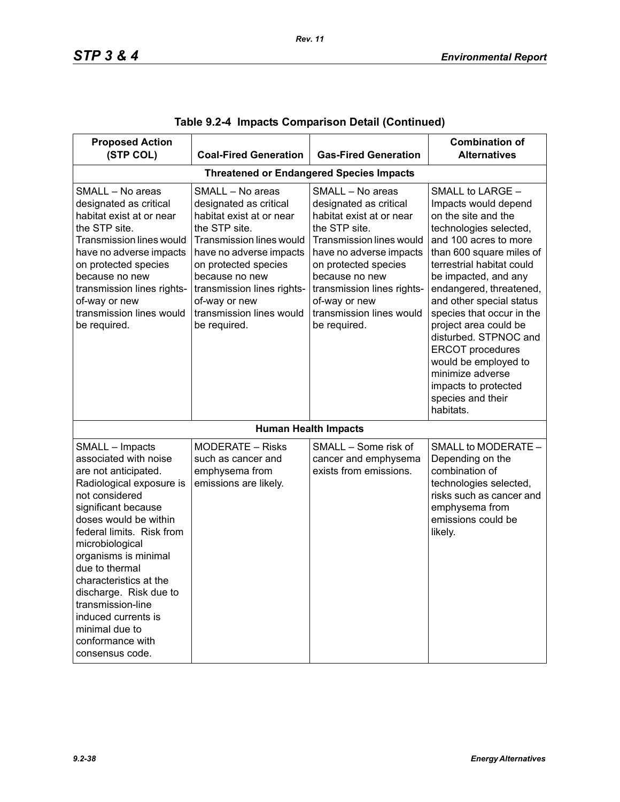| <b>Proposed Action</b>                                                                                                                                                                                                                                                                                                                                                                                            |                                                                                                                                                                                                                                                                                     |                                                                                                                                                                                                                                                                                            | <b>Combination of</b>                                                                                                                                                                                                                                                                                                                                                                                                                                                      |
|-------------------------------------------------------------------------------------------------------------------------------------------------------------------------------------------------------------------------------------------------------------------------------------------------------------------------------------------------------------------------------------------------------------------|-------------------------------------------------------------------------------------------------------------------------------------------------------------------------------------------------------------------------------------------------------------------------------------|--------------------------------------------------------------------------------------------------------------------------------------------------------------------------------------------------------------------------------------------------------------------------------------------|----------------------------------------------------------------------------------------------------------------------------------------------------------------------------------------------------------------------------------------------------------------------------------------------------------------------------------------------------------------------------------------------------------------------------------------------------------------------------|
| (STP COL)                                                                                                                                                                                                                                                                                                                                                                                                         | <b>Coal-Fired Generation</b>                                                                                                                                                                                                                                                        | <b>Gas-Fired Generation</b>                                                                                                                                                                                                                                                                | <b>Alternatives</b>                                                                                                                                                                                                                                                                                                                                                                                                                                                        |
|                                                                                                                                                                                                                                                                                                                                                                                                                   |                                                                                                                                                                                                                                                                                     | <b>Threatened or Endangered Species Impacts</b>                                                                                                                                                                                                                                            |                                                                                                                                                                                                                                                                                                                                                                                                                                                                            |
| SMALL - No areas<br>designated as critical<br>habitat exist at or near<br>the STP site.<br><b>Transmission lines would</b><br>have no adverse impacts<br>on protected species<br>because no new<br>transmission lines rights-<br>of-way or new<br>transmission lines would<br>be required.                                                                                                                        | SMALL - No areas<br>designated as critical<br>habitat exist at or near<br>the STP site.<br>Transmission lines would<br>have no adverse impacts<br>on protected species<br>because no new<br>transmission lines rights-<br>of-way or new<br>transmission lines would<br>be required. | SMALL - No areas<br>designated as critical<br>habitat exist at or near<br>the STP site.<br><b>Transmission lines would</b><br>have no adverse impacts<br>on protected species<br>because no new<br>transmission lines rights-<br>of-way or new<br>transmission lines would<br>be required. | SMALL to LARGE -<br>Impacts would depend<br>on the site and the<br>technologies selected,<br>and 100 acres to more<br>than 600 square miles of<br>terrestrial habitat could<br>be impacted, and any<br>endangered, threatened,<br>and other special status<br>species that occur in the<br>project area could be<br>disturbed. STPNOC and<br><b>ERCOT</b> procedures<br>would be employed to<br>minimize adverse<br>impacts to protected<br>species and their<br>habitats. |
|                                                                                                                                                                                                                                                                                                                                                                                                                   |                                                                                                                                                                                                                                                                                     | <b>Human Health Impacts</b>                                                                                                                                                                                                                                                                |                                                                                                                                                                                                                                                                                                                                                                                                                                                                            |
| SMALL - Impacts<br>associated with noise<br>are not anticipated.<br>Radiological exposure is<br>not considered<br>significant because<br>doses would be within<br>federal limits. Risk from<br>microbiological<br>organisms is minimal<br>due to thermal<br>characteristics at the<br>discharge. Risk due to<br>transmission-line<br>induced currents is<br>minimal due to<br>conformance with<br>consensus code. | MODERATE - Risks<br>such as cancer and<br>emphysema from<br>emissions are likely.                                                                                                                                                                                                   | SMALL - Some risk of<br>cancer and emphysema<br>exists from emissions.                                                                                                                                                                                                                     | SMALL to MODERATE -<br>Depending on the<br>combination of<br>technologies selected,<br>risks such as cancer and<br>emphysema from<br>emissions could be<br>likely.                                                                                                                                                                                                                                                                                                         |

|  |  | Table 9.2-4  Impacts Comparison Detail (Continued) |  |  |
|--|--|----------------------------------------------------|--|--|
|--|--|----------------------------------------------------|--|--|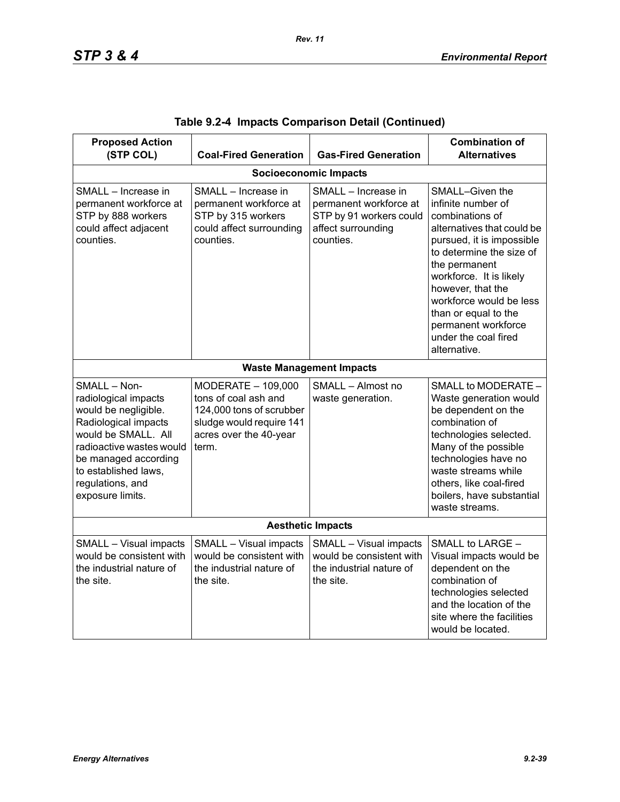| <b>Proposed Action</b><br>(STP COL)                                                                                                                                                                                             | <b>Coal-Fired Generation</b>                                                                                                          | <b>Gas-Fired Generation</b>                                                                                 | <b>Combination of</b><br><b>Alternatives</b>                                                                                                                                                                                                                                                                                       |  |  |  |
|---------------------------------------------------------------------------------------------------------------------------------------------------------------------------------------------------------------------------------|---------------------------------------------------------------------------------------------------------------------------------------|-------------------------------------------------------------------------------------------------------------|------------------------------------------------------------------------------------------------------------------------------------------------------------------------------------------------------------------------------------------------------------------------------------------------------------------------------------|--|--|--|
| <b>Socioeconomic Impacts</b>                                                                                                                                                                                                    |                                                                                                                                       |                                                                                                             |                                                                                                                                                                                                                                                                                                                                    |  |  |  |
| SMALL - Increase in<br>permanent workforce at<br>STP by 888 workers<br>could affect adjacent<br>counties.                                                                                                                       | SMALL - Increase in<br>permanent workforce at<br>STP by 315 workers<br>could affect surrounding<br>counties.                          | SMALL - Increase in<br>permanent workforce at<br>STP by 91 workers could<br>affect surrounding<br>counties. | SMALL-Given the<br>infinite number of<br>combinations of<br>alternatives that could be<br>pursued, it is impossible<br>to determine the size of<br>the permanent<br>workforce. It is likely<br>however, that the<br>workforce would be less<br>than or equal to the<br>permanent workforce<br>under the coal fired<br>alternative. |  |  |  |
|                                                                                                                                                                                                                                 |                                                                                                                                       | <b>Waste Management Impacts</b>                                                                             |                                                                                                                                                                                                                                                                                                                                    |  |  |  |
| SMALL - Non-<br>radiological impacts<br>would be negligible.<br>Radiological impacts<br>would be SMALL. All<br>radioactive wastes would<br>be managed according<br>to established laws,<br>regulations, and<br>exposure limits. | MODERATE - 109,000<br>tons of coal ash and<br>124,000 tons of scrubber<br>sludge would require 141<br>acres over the 40-year<br>term. | SMALL - Almost no<br>waste generation.                                                                      | SMALL to MODERATE -<br>Waste generation would<br>be dependent on the<br>combination of<br>technologies selected.<br>Many of the possible<br>technologies have no<br>waste streams while<br>others, like coal-fired<br>boilers, have substantial<br>waste streams.                                                                  |  |  |  |
| <b>Aesthetic Impacts</b>                                                                                                                                                                                                        |                                                                                                                                       |                                                                                                             |                                                                                                                                                                                                                                                                                                                                    |  |  |  |
| SMALL - Visual impacts<br>would be consistent with<br>the industrial nature of<br>the site.                                                                                                                                     | SMALL - Visual impacts<br>would be consistent with<br>the industrial nature of<br>the site.                                           | SMALL - Visual impacts<br>would be consistent with<br>the industrial nature of<br>the site.                 | SMALL to LARGE -<br>Visual impacts would be<br>dependent on the<br>combination of<br>technologies selected<br>and the location of the<br>site where the facilities<br>would be located.                                                                                                                                            |  |  |  |

|  |  | Table 9.2-4 Impacts Comparison Detail (Continued) |  |  |
|--|--|---------------------------------------------------|--|--|
|--|--|---------------------------------------------------|--|--|